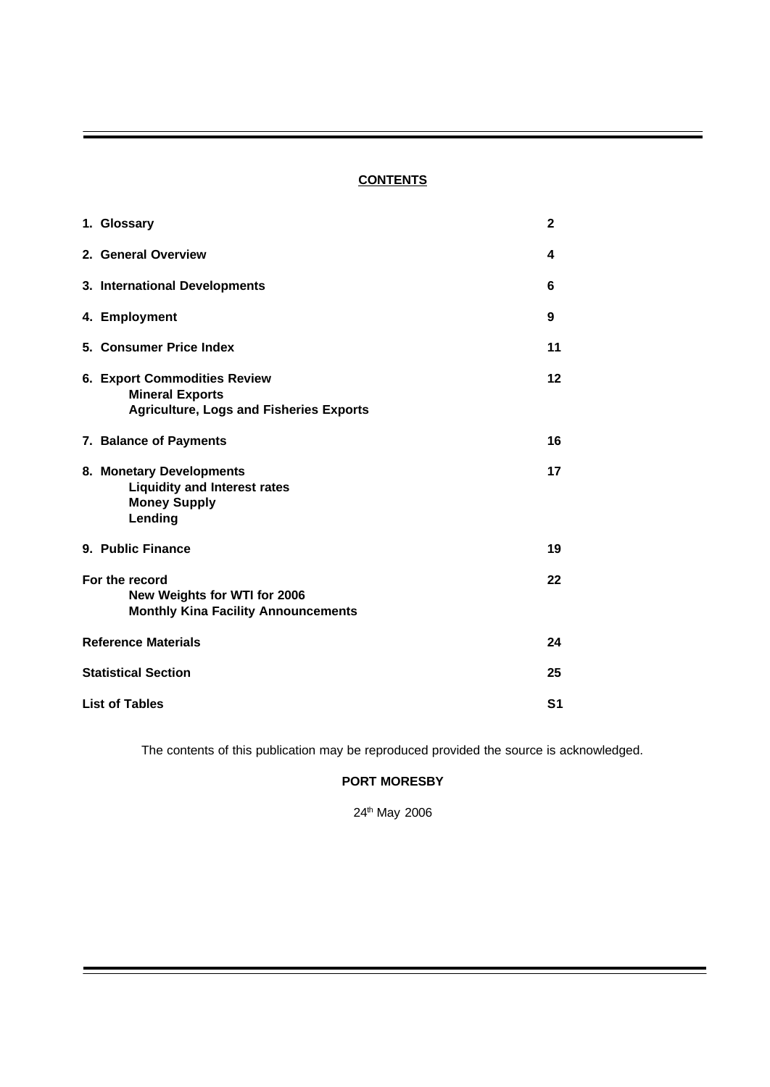# **CONTENTS**

|                            | 1. Glossary                                                                                                     | $\mathbf{2}$ |  |
|----------------------------|-----------------------------------------------------------------------------------------------------------------|--------------|--|
|                            | 2. General Overview                                                                                             | 4            |  |
|                            | 3. International Developments                                                                                   | 6            |  |
|                            | 4. Employment                                                                                                   | 9            |  |
|                            | 5. Consumer Price Index                                                                                         | 11           |  |
|                            | <b>6. Export Commodities Review</b><br><b>Mineral Exports</b><br><b>Agriculture, Logs and Fisheries Exports</b> | 12           |  |
|                            | 7. Balance of Payments                                                                                          | 16           |  |
|                            | 8. Monetary Developments<br><b>Liquidity and Interest rates</b><br><b>Money Supply</b><br>Lending               | 17           |  |
|                            | 9. Public Finance                                                                                               | 19           |  |
|                            | For the record<br>New Weights for WTI for 2006<br><b>Monthly Kina Facility Announcements</b>                    | 22           |  |
| <b>Reference Materials</b> |                                                                                                                 |              |  |
| <b>Statistical Section</b> |                                                                                                                 |              |  |
|                            | <b>List of Tables</b>                                                                                           |              |  |

The contents of this publication may be reproduced provided the source is acknowledged.

# **PORT MORESBY**

24th May 2006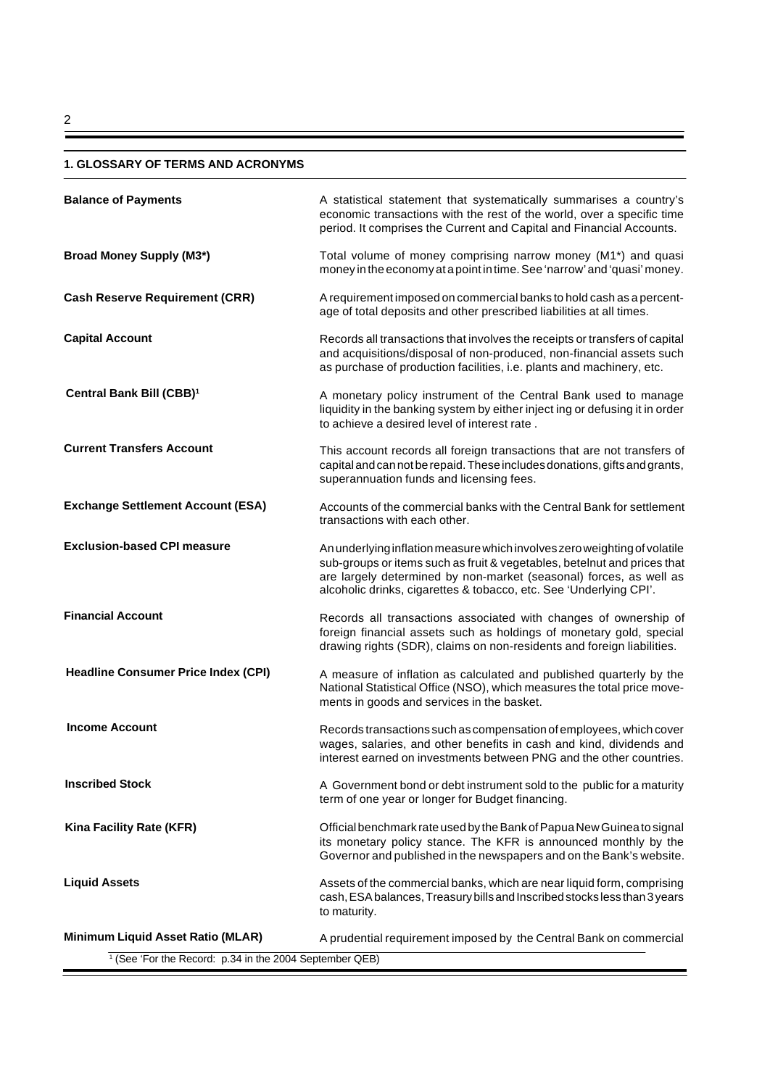# **1. GLOSSARY OF TERMS AND ACRONYMS**

| <b>Balance of Payments</b>                                         | A statistical statement that systematically summarises a country's<br>economic transactions with the rest of the world, over a specific time<br>period. It comprises the Current and Capital and Financial Accounts.                                                                              |  |  |
|--------------------------------------------------------------------|---------------------------------------------------------------------------------------------------------------------------------------------------------------------------------------------------------------------------------------------------------------------------------------------------|--|--|
| <b>Broad Money Supply (M3*)</b>                                    | Total volume of money comprising narrow money (M1*) and quasi<br>money in the economy at a point in time. See 'narrow' and 'quasi' money.                                                                                                                                                         |  |  |
| <b>Cash Reserve Requirement (CRR)</b>                              | A requirement imposed on commercial banks to hold cash as a percent-<br>age of total deposits and other prescribed liabilities at all times.                                                                                                                                                      |  |  |
| <b>Capital Account</b>                                             | Records all transactions that involves the receipts or transfers of capital<br>and acquisitions/disposal of non-produced, non-financial assets such<br>as purchase of production facilities, i.e. plants and machinery, etc.                                                                      |  |  |
| Central Bank Bill (CBB) <sup>1</sup>                               | A monetary policy instrument of the Central Bank used to manage<br>liquidity in the banking system by either inject ing or defusing it in order<br>to achieve a desired level of interest rate.                                                                                                   |  |  |
| <b>Current Transfers Account</b>                                   | This account records all foreign transactions that are not transfers of<br>capital and can not be repaid. These includes donations, gifts and grants,<br>superannuation funds and licensing fees.                                                                                                 |  |  |
| <b>Exchange Settlement Account (ESA)</b>                           | Accounts of the commercial banks with the Central Bank for settlement<br>transactions with each other.                                                                                                                                                                                            |  |  |
| <b>Exclusion-based CPI measure</b>                                 | An underlying inflation measure which involves zero weighting of volatile<br>sub-groups or items such as fruit & vegetables, betelnut and prices that<br>are largely determined by non-market (seasonal) forces, as well as<br>alcoholic drinks, cigarettes & tobacco, etc. See 'Underlying CPI'. |  |  |
| <b>Financial Account</b>                                           | Records all transactions associated with changes of ownership of<br>foreign financial assets such as holdings of monetary gold, special<br>drawing rights (SDR), claims on non-residents and foreign liabilities.                                                                                 |  |  |
| <b>Headline Consumer Price Index (CPI)</b>                         | A measure of inflation as calculated and published quarterly by the<br>National Statistical Office (NSO), which measures the total price move-<br>ments in goods and services in the basket.                                                                                                      |  |  |
| <b>Income Account</b>                                              | Records transactions such as compensation of employees, which cover<br>wages, salaries, and other benefits in cash and kind, dividends and<br>interest earned on investments between PNG and the other countries.                                                                                 |  |  |
| <b>Inscribed Stock</b>                                             | A Government bond or debt instrument sold to the public for a maturity<br>term of one year or longer for Budget financing.                                                                                                                                                                        |  |  |
| Kina Facility Rate (KFR)                                           | Official benchmark rate used by the Bank of Papua New Guinea to signal<br>its monetary policy stance. The KFR is announced monthly by the<br>Governor and published in the newspapers and on the Bank's website.                                                                                  |  |  |
| <b>Liquid Assets</b>                                               | Assets of the commercial banks, which are near liquid form, comprising<br>cash, ESA balances, Treasury bills and Inscribed stocks less than 3 years<br>to maturity.                                                                                                                               |  |  |
| <b>Minimum Liquid Asset Ratio (MLAR)</b>                           | A prudential requirement imposed by the Central Bank on commercial                                                                                                                                                                                                                                |  |  |
| <sup>1</sup> (See 'For the Record: p.34 in the 2004 September QEB) |                                                                                                                                                                                                                                                                                                   |  |  |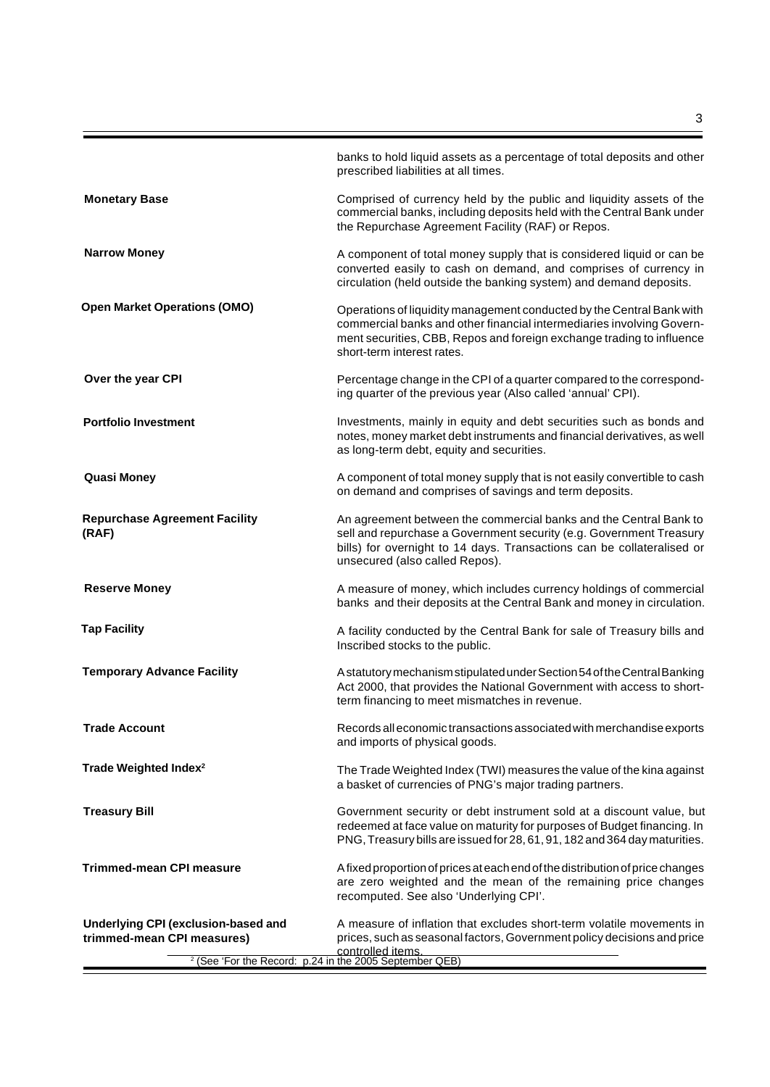|                                                                                                                                         | banks to hold liquid assets as a percentage of total deposits and other<br>prescribed liabilities at all times.                                                                                                                                       |
|-----------------------------------------------------------------------------------------------------------------------------------------|-------------------------------------------------------------------------------------------------------------------------------------------------------------------------------------------------------------------------------------------------------|
| <b>Monetary Base</b>                                                                                                                    | Comprised of currency held by the public and liquidity assets of the<br>commercial banks, including deposits held with the Central Bank under<br>the Repurchase Agreement Facility (RAF) or Repos.                                                    |
| <b>Narrow Money</b>                                                                                                                     | A component of total money supply that is considered liquid or can be<br>converted easily to cash on demand, and comprises of currency in<br>circulation (held outside the banking system) and demand deposits.                                       |
| <b>Open Market Operations (OMO)</b>                                                                                                     | Operations of liquidity management conducted by the Central Bank with<br>commercial banks and other financial intermediaries involving Govern-<br>ment securities, CBB, Repos and foreign exchange trading to influence<br>short-term interest rates. |
| Over the year CPI                                                                                                                       | Percentage change in the CPI of a quarter compared to the correspond-<br>ing quarter of the previous year (Also called 'annual' CPI).                                                                                                                 |
| <b>Portfolio Investment</b>                                                                                                             | Investments, mainly in equity and debt securities such as bonds and<br>notes, money market debt instruments and financial derivatives, as well<br>as long-term debt, equity and securities.                                                           |
| <b>Quasi Money</b>                                                                                                                      | A component of total money supply that is not easily convertible to cash<br>on demand and comprises of savings and term deposits.                                                                                                                     |
| <b>Repurchase Agreement Facility</b><br>(RAF)                                                                                           | An agreement between the commercial banks and the Central Bank to<br>sell and repurchase a Government security (e.g. Government Treasury<br>bills) for overnight to 14 days. Transactions can be collateralised or<br>unsecured (also called Repos).  |
| <b>Reserve Money</b>                                                                                                                    | A measure of money, which includes currency holdings of commercial<br>banks and their deposits at the Central Bank and money in circulation.                                                                                                          |
| <b>Tap Facility</b>                                                                                                                     | A facility conducted by the Central Bank for sale of Treasury bills and<br>Inscribed stocks to the public.                                                                                                                                            |
| <b>Temporary Advance Facility</b>                                                                                                       | A statutory mechanism stipulated under Section 54 of the Central Banking<br>Act 2000, that provides the National Government with access to short-<br>term financing to meet mismatches in revenue.                                                    |
| <b>Trade Account</b>                                                                                                                    | Records all economic transactions associated with merchandise exports<br>and imports of physical goods.                                                                                                                                               |
| Trade Weighted Index <sup>2</sup>                                                                                                       | The Trade Weighted Index (TWI) measures the value of the kina against<br>a basket of currencies of PNG's major trading partners.                                                                                                                      |
| <b>Treasury Bill</b>                                                                                                                    | Government security or debt instrument sold at a discount value, but<br>redeemed at face value on maturity for purposes of Budget financing. In<br>PNG, Treasury bills are issued for 28, 61, 91, 182 and 364 day maturities.                         |
| <b>Trimmed-mean CPI measure</b>                                                                                                         | A fixed proportion of prices at each end of the distribution of price changes<br>are zero weighted and the mean of the remaining price changes<br>recomputed. See also 'Underlying CPI'.                                                              |
| Underlying CPI (exclusion-based and<br>trimmed-mean CPI measures)<br><sup>2</sup> (See 'For the Record: p.24 in the 2005 September QEB) | A measure of inflation that excludes short-term volatile movements in<br>prices, such as seasonal factors, Government policy decisions and price<br>controlled items.                                                                                 |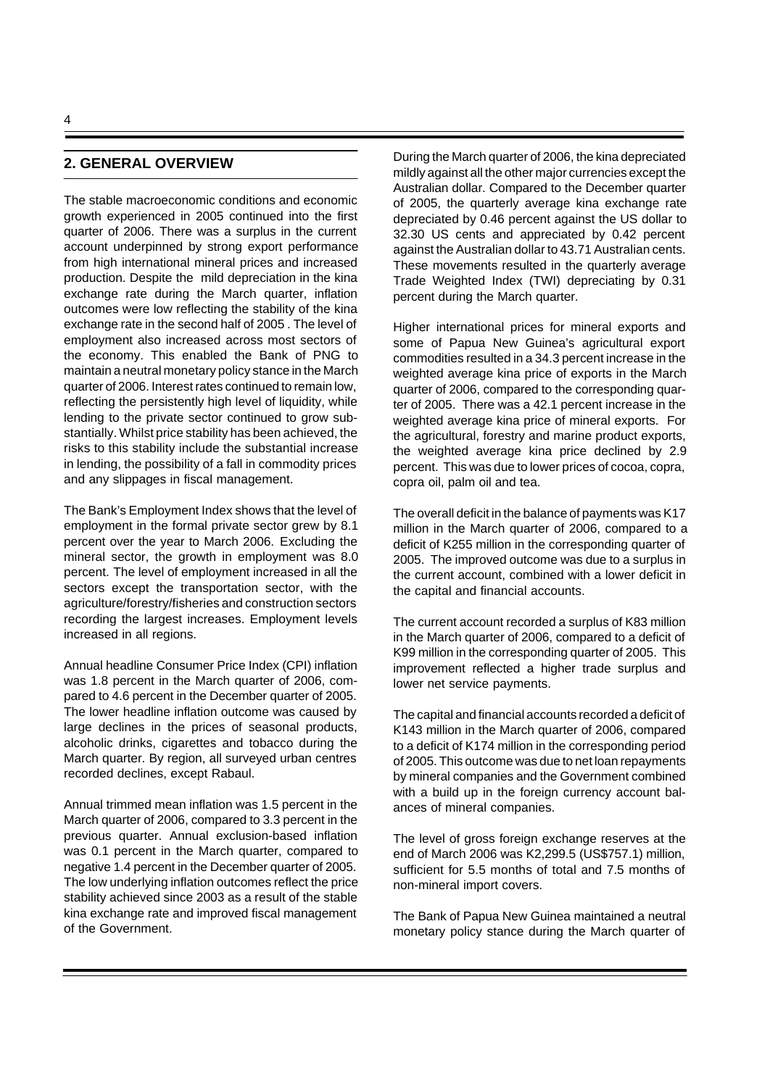## **2. GENERAL OVERVIEW**

The stable macroeconomic conditions and economic growth experienced in 2005 continued into the first quarter of 2006. There was a surplus in the current account underpinned by strong export performance from high international mineral prices and increased production. Despite the mild depreciation in the kina exchange rate during the March quarter, inflation outcomes were low reflecting the stability of the kina exchange rate in the second half of 2005 . The level of employment also increased across most sectors of the economy. This enabled the Bank of PNG to maintain a neutral monetary policy stance in the March quarter of 2006. Interest rates continued to remain low, reflecting the persistently high level of liquidity, while lending to the private sector continued to grow substantially. Whilst price stability has been achieved, the risks to this stability include the substantial increase in lending, the possibility of a fall in commodity prices and any slippages in fiscal management.

The Bank's Employment Index shows that the level of employment in the formal private sector grew by 8.1 percent over the year to March 2006. Excluding the mineral sector, the growth in employment was 8.0 percent. The level of employment increased in all the sectors except the transportation sector, with the agriculture/forestry/fisheries and construction sectors recording the largest increases. Employment levels increased in all regions.

Annual headline Consumer Price Index (CPI) inflation was 1.8 percent in the March quarter of 2006, compared to 4.6 percent in the December quarter of 2005. The lower headline inflation outcome was caused by large declines in the prices of seasonal products, alcoholic drinks, cigarettes and tobacco during the March quarter. By region, all surveyed urban centres recorded declines, except Rabaul.

Annual trimmed mean inflation was 1.5 percent in the March quarter of 2006, compared to 3.3 percent in the previous quarter. Annual exclusion-based inflation was 0.1 percent in the March quarter, compared to negative 1.4 percent in the December quarter of 2005. The low underlying inflation outcomes reflect the price stability achieved since 2003 as a result of the stable kina exchange rate and improved fiscal management of the Government.

During the March quarter of 2006, the kina depreciated mildly against all the other major currencies except the Australian dollar. Compared to the December quarter of 2005, the quarterly average kina exchange rate depreciated by 0.46 percent against the US dollar to 32.30 US cents and appreciated by 0.42 percent against the Australian dollar to 43.71 Australian cents. These movements resulted in the quarterly average Trade Weighted Index (TWI) depreciating by 0.31 percent during the March quarter.

Higher international prices for mineral exports and some of Papua New Guinea's agricultural export commodities resulted in a 34.3 percent increase in the weighted average kina price of exports in the March quarter of 2006, compared to the corresponding quarter of 2005. There was a 42.1 percent increase in the weighted average kina price of mineral exports. For the agricultural, forestry and marine product exports, the weighted average kina price declined by 2.9 percent. This was due to lower prices of cocoa, copra, copra oil, palm oil and tea.

The overall deficit in the balance of payments was K17 million in the March quarter of 2006, compared to a deficit of K255 million in the corresponding quarter of 2005. The improved outcome was due to a surplus in the current account, combined with a lower deficit in the capital and financial accounts.

The current account recorded a surplus of K83 million in the March quarter of 2006, compared to a deficit of K99 million in the corresponding quarter of 2005. This improvement reflected a higher trade surplus and lower net service payments.

The capital and financial accounts recorded a deficit of K143 million in the March quarter of 2006, compared to a deficit of K174 million in the corresponding period of 2005. This outcome was due to net loan repayments by mineral companies and the Government combined with a build up in the foreign currency account balances of mineral companies.

The level of gross foreign exchange reserves at the end of March 2006 was K2,299.5 (US\$757.1) million, sufficient for 5.5 months of total and 7.5 months of non-mineral import covers.

The Bank of Papua New Guinea maintained a neutral monetary policy stance during the March quarter of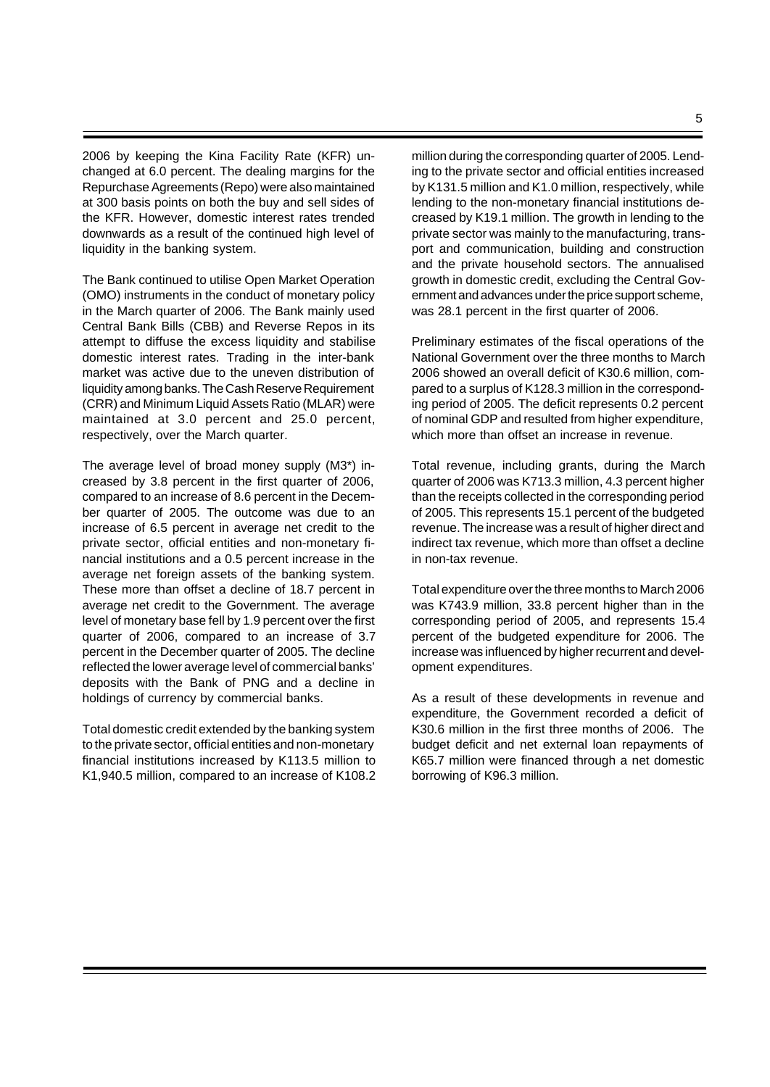2006 by keeping the Kina Facility Rate (KFR) unchanged at 6.0 percent. The dealing margins for the Repurchase Agreements (Repo) were also maintained at 300 basis points on both the buy and sell sides of the KFR. However, domestic interest rates trended downwards as a result of the continued high level of liquidity in the banking system.

The Bank continued to utilise Open Market Operation (OMO) instruments in the conduct of monetary policy in the March quarter of 2006. The Bank mainly used Central Bank Bills (CBB) and Reverse Repos in its attempt to diffuse the excess liquidity and stabilise domestic interest rates. Trading in the inter-bank market was active due to the uneven distribution of liquidity among banks. The Cash Reserve Requirement (CRR) and Minimum Liquid Assets Ratio (MLAR) were maintained at 3.0 percent and 25.0 percent, respectively, over the March quarter.

The average level of broad money supply (M3\*) increased by 3.8 percent in the first quarter of 2006, compared to an increase of 8.6 percent in the December quarter of 2005. The outcome was due to an increase of 6.5 percent in average net credit to the private sector, official entities and non-monetary financial institutions and a 0.5 percent increase in the average net foreign assets of the banking system. These more than offset a decline of 18.7 percent in average net credit to the Government. The average level of monetary base fell by 1.9 percent over the first quarter of 2006, compared to an increase of 3.7 percent in the December quarter of 2005. The decline reflected the lower average level of commercial banks' deposits with the Bank of PNG and a decline in holdings of currency by commercial banks.

Total domestic credit extended by the banking system to the private sector, official entities and non-monetary financial institutions increased by K113.5 million to K1,940.5 million, compared to an increase of K108.2 million during the corresponding quarter of 2005. Lending to the private sector and official entities increased by K131.5 million and K1.0 million, respectively, while lending to the non-monetary financial institutions decreased by K19.1 million. The growth in lending to the private sector was mainly to the manufacturing, transport and communication, building and construction and the private household sectors. The annualised growth in domestic credit, excluding the Central Government and advances under the price support scheme, was 28.1 percent in the first quarter of 2006.

Preliminary estimates of the fiscal operations of the National Government over the three months to March 2006 showed an overall deficit of K30.6 million, compared to a surplus of K128.3 million in the corresponding period of 2005. The deficit represents 0.2 percent of nominal GDP and resulted from higher expenditure, which more than offset an increase in revenue.

Total revenue, including grants, during the March quarter of 2006 was K713.3 million, 4.3 percent higher than the receipts collected in the corresponding period of 2005. This represents 15.1 percent of the budgeted revenue. The increase was a result of higher direct and indirect tax revenue, which more than offset a decline in non-tax revenue.

Total expenditure over the three months to March 2006 was K743.9 million, 33.8 percent higher than in the corresponding period of 2005, and represents 15.4 percent of the budgeted expenditure for 2006. The increase was influenced by higher recurrent and development expenditures.

As a result of these developments in revenue and expenditure, the Government recorded a deficit of K30.6 million in the first three months of 2006. The budget deficit and net external loan repayments of K65.7 million were financed through a net domestic borrowing of K96.3 million.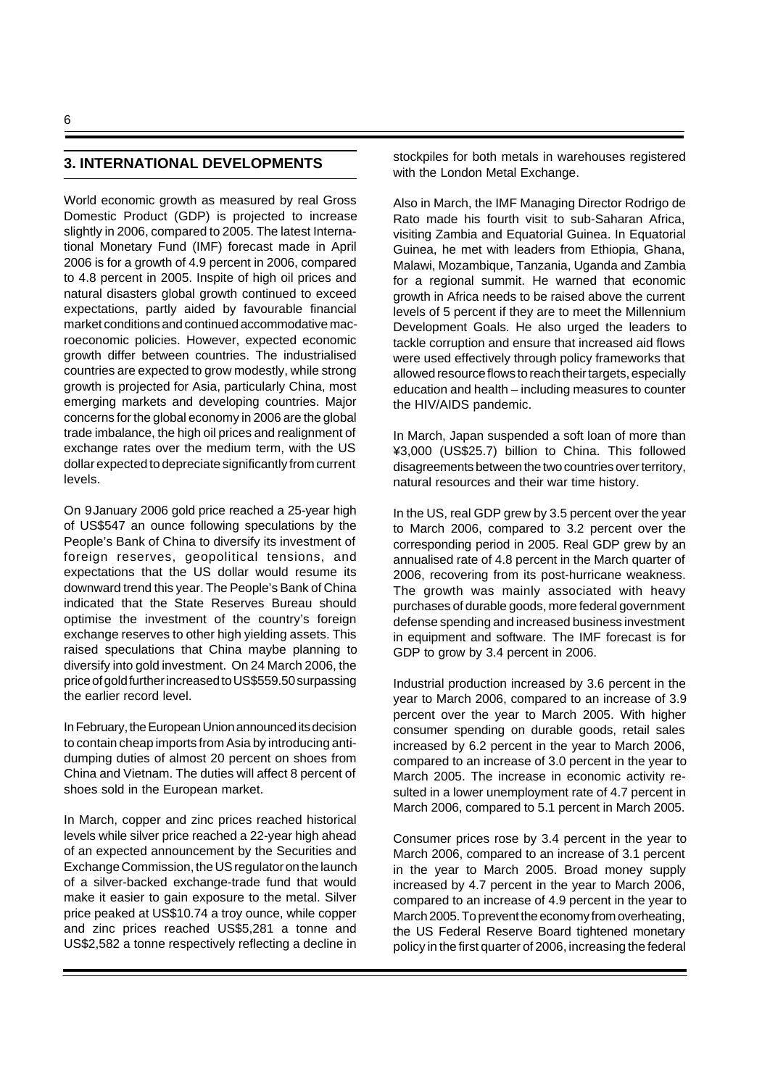# **3. INTERNATIONAL DEVELOPMENTS**

World economic growth as measured by real Gross Domestic Product (GDP) is projected to increase slightly in 2006, compared to 2005. The latest International Monetary Fund (IMF) forecast made in April 2006 is for a growth of 4.9 percent in 2006, compared to 4.8 percent in 2005. Inspite of high oil prices and natural disasters global growth continued to exceed expectations, partly aided by favourable financial market conditions and continued accommodative macroeconomic policies. However, expected economic growth differ between countries. The industrialised countries are expected to grow modestly, while strong growth is projected for Asia, particularly China, most emerging markets and developing countries. Major concerns for the global economy in 2006 are the global trade imbalance, the high oil prices and realignment of exchange rates over the medium term, with the US dollar expected to depreciate significantly from current levels.

On 9January 2006 gold price reached a 25-year high of US\$547 an ounce following speculations by the People's Bank of China to diversify its investment of foreign reserves, geopolitical tensions, and expectations that the US dollar would resume its downward trend this year. The People's Bank of China indicated that the State Reserves Bureau should optimise the investment of the country's foreign exchange reserves to other high yielding assets. This raised speculations that China maybe planning to diversify into gold investment. On 24 March 2006, the price of gold further increased to US\$559.50 surpassing the earlier record level.

In February, the European Union announced its decision to contain cheap imports from Asia by introducing antidumping duties of almost 20 percent on shoes from China and Vietnam. The duties will affect 8 percent of shoes sold in the European market.

In March, copper and zinc prices reached historical levels while silver price reached a 22-year high ahead of an expected announcement by the Securities and Exchange Commission, the US regulator on the launch of a silver-backed exchange-trade fund that would make it easier to gain exposure to the metal. Silver price peaked at US\$10.74 a troy ounce, while copper and zinc prices reached US\$5,281 a tonne and US\$2,582 a tonne respectively reflecting a decline in

stockpiles for both metals in warehouses registered with the London Metal Exchange.

Also in March, the IMF Managing Director Rodrigo de Rato made his fourth visit to sub-Saharan Africa, visiting Zambia and Equatorial Guinea. In Equatorial Guinea, he met with leaders from Ethiopia, Ghana, Malawi, Mozambique, Tanzania, Uganda and Zambia for a regional summit. He warned that economic growth in Africa needs to be raised above the current levels of 5 percent if they are to meet the Millennium Development Goals. He also urged the leaders to tackle corruption and ensure that increased aid flows were used effectively through policy frameworks that allowed resource flows to reach their targets, especially education and health – including measures to counter the HIV/AIDS pandemic.

In March, Japan suspended a soft loan of more than ¥3,000 (US\$25.7) billion to China. This followed disagreements between the two countries over territory, natural resources and their war time history.

In the US, real GDP grew by 3.5 percent over the year to March 2006, compared to 3.2 percent over the corresponding period in 2005. Real GDP grew by an annualised rate of 4.8 percent in the March quarter of 2006, recovering from its post-hurricane weakness. The growth was mainly associated with heavy purchases of durable goods, more federal government defense spending and increased business investment in equipment and software. The IMF forecast is for GDP to grow by 3.4 percent in 2006.

Industrial production increased by 3.6 percent in the year to March 2006, compared to an increase of 3.9 percent over the year to March 2005. With higher consumer spending on durable goods, retail sales increased by 6.2 percent in the year to March 2006, compared to an increase of 3.0 percent in the year to March 2005. The increase in economic activity resulted in a lower unemployment rate of 4.7 percent in March 2006, compared to 5.1 percent in March 2005.

Consumer prices rose by 3.4 percent in the year to March 2006, compared to an increase of 3.1 percent in the year to March 2005. Broad money supply increased by 4.7 percent in the year to March 2006, compared to an increase of 4.9 percent in the year to March 2005. To prevent the economy from overheating, the US Federal Reserve Board tightened monetary policy in the first quarter of 2006, increasing the federal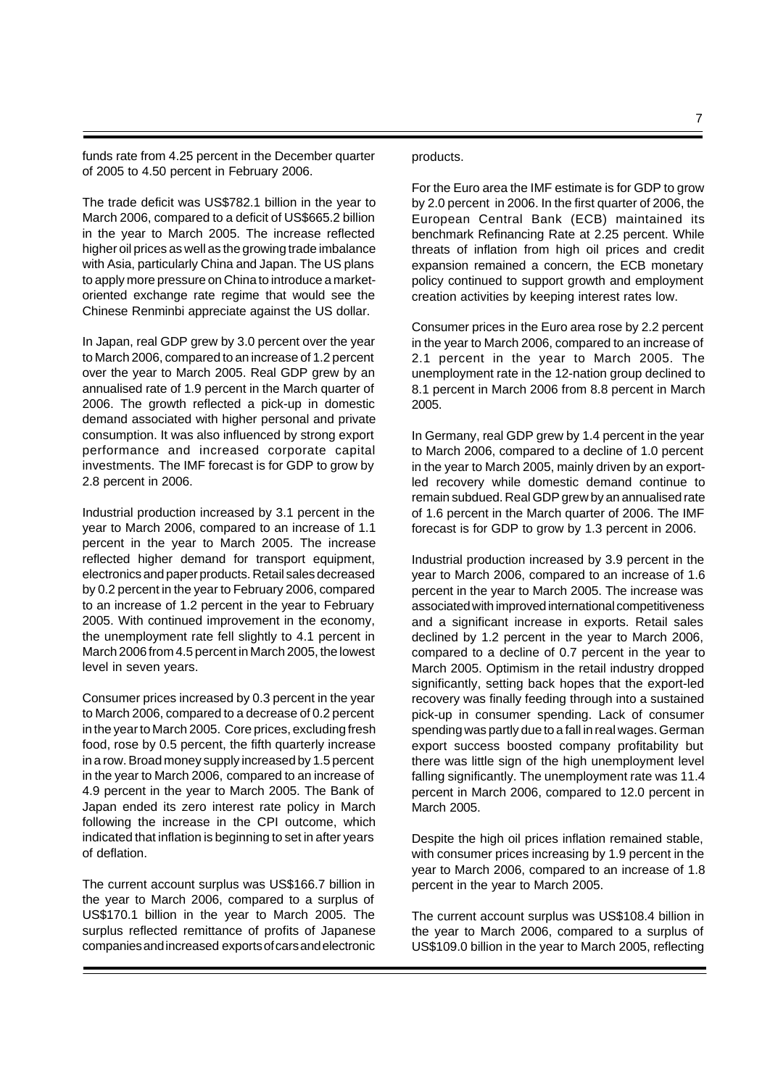funds rate from 4.25 percent in the December quarter of 2005 to 4.50 percent in February 2006.

The trade deficit was US\$782.1 billion in the year to March 2006, compared to a deficit of US\$665.2 billion in the year to March 2005. The increase reflected higher oil prices as well as the growing trade imbalance with Asia, particularly China and Japan. The US plans to apply more pressure on China to introduce a marketoriented exchange rate regime that would see the Chinese Renminbi appreciate against the US dollar.

In Japan, real GDP grew by 3.0 percent over the year to March 2006, compared to an increase of 1.2 percent over the year to March 2005. Real GDP grew by an annualised rate of 1.9 percent in the March quarter of 2006. The growth reflected a pick-up in domestic demand associated with higher personal and private consumption. It was also influenced by strong export performance and increased corporate capital investments. The IMF forecast is for GDP to grow by 2.8 percent in 2006.

Industrial production increased by 3.1 percent in the year to March 2006, compared to an increase of 1.1 percent in the year to March 2005. The increase reflected higher demand for transport equipment, electronics and paper products. Retail sales decreased by 0.2 percent in the year to February 2006, compared to an increase of 1.2 percent in the year to February 2005. With continued improvement in the economy, the unemployment rate fell slightly to 4.1 percent in March 2006 from 4.5 percent in March 2005, the lowest level in seven years.

Consumer prices increased by 0.3 percent in the year to March 2006, compared to a decrease of 0.2 percent in the year to March 2005. Core prices, excluding fresh food, rose by 0.5 percent, the fifth quarterly increase in a row. Broad money supply increased by 1.5 percent in the year to March 2006, compared to an increase of 4.9 percent in the year to March 2005. The Bank of Japan ended its zero interest rate policy in March following the increase in the CPI outcome, which indicated that inflation is beginning to set in after years of deflation.

The current account surplus was US\$166.7 billion in the year to March 2006, compared to a surplus of US\$170.1 billion in the year to March 2005. The surplus reflected remittance of profits of Japanese companies and increased exports of cars and electronic

#### products.

For the Euro area the IMF estimate is for GDP to grow by 2.0 percent in 2006. In the first quarter of 2006, the European Central Bank (ECB) maintained its benchmark Refinancing Rate at 2.25 percent. While threats of inflation from high oil prices and credit expansion remained a concern, the ECB monetary policy continued to support growth and employment creation activities by keeping interest rates low.

Consumer prices in the Euro area rose by 2.2 percent in the year to March 2006, compared to an increase of 2.1 percent in the year to March 2005. The unemployment rate in the 12-nation group declined to 8.1 percent in March 2006 from 8.8 percent in March 2005.

In Germany, real GDP grew by 1.4 percent in the year to March 2006, compared to a decline of 1.0 percent in the year to March 2005, mainly driven by an exportled recovery while domestic demand continue to remain subdued. Real GDP grew by an annualised rate of 1.6 percent in the March quarter of 2006. The IMF forecast is for GDP to grow by 1.3 percent in 2006.

Industrial production increased by 3.9 percent in the year to March 2006, compared to an increase of 1.6 percent in the year to March 2005. The increase was associated with improved international competitiveness and a significant increase in exports. Retail sales declined by 1.2 percent in the year to March 2006, compared to a decline of 0.7 percent in the year to March 2005. Optimism in the retail industry dropped significantly, setting back hopes that the export-led recovery was finally feeding through into a sustained pick-up in consumer spending. Lack of consumer spending was partly due to a fall in real wages. German export success boosted company profitability but there was little sign of the high unemployment level falling significantly. The unemployment rate was 11.4 percent in March 2006, compared to 12.0 percent in March 2005.

Despite the high oil prices inflation remained stable, with consumer prices increasing by 1.9 percent in the year to March 2006, compared to an increase of 1.8 percent in the year to March 2005.

The current account surplus was US\$108.4 billion in the year to March 2006, compared to a surplus of US\$109.0 billion in the year to March 2005, reflecting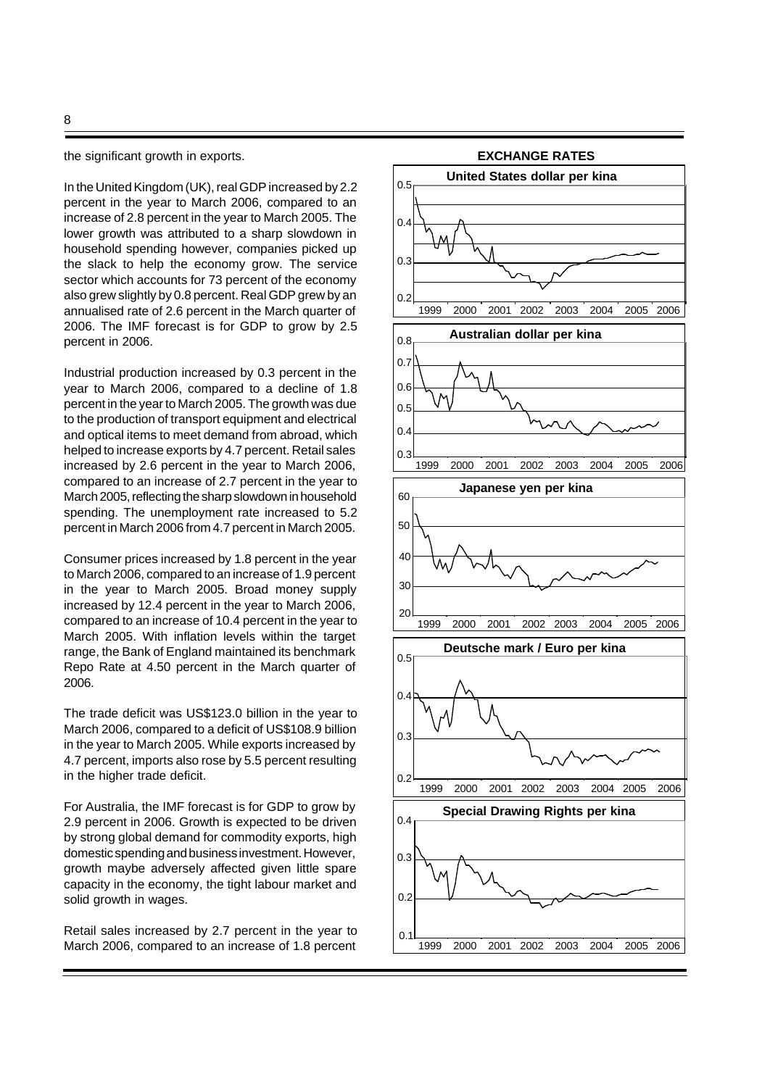the significant growth in exports.

In the United Kingdom (UK), real GDP increased by 2.2 percent in the year to March 2006, compared to an increase of 2.8 percent in the year to March 2005. The lower growth was attributed to a sharp slowdown in household spending however, companies picked up the slack to help the economy grow. The service sector which accounts for 73 percent of the economy also grew slightly by 0.8 percent. Real GDP grew by an annualised rate of 2.6 percent in the March quarter of 2006. The IMF forecast is for GDP to grow by 2.5 percent in 2006.

Industrial production increased by 0.3 percent in the year to March 2006, compared to a decline of 1.8 percent in the year to March 2005. The growth was due to the production of transport equipment and electrical and optical items to meet demand from abroad, which helped to increase exports by 4.7 percent. Retail sales increased by 2.6 percent in the year to March 2006, compared to an increase of 2.7 percent in the year to March 2005, reflecting the sharp slowdown in household spending. The unemployment rate increased to 5.2 percent in March 2006 from 4.7 percent in March 2005.

Consumer prices increased by 1.8 percent in the year to March 2006, compared to an increase of 1.9 percent in the year to March 2005. Broad money supply increased by 12.4 percent in the year to March 2006, compared to an increase of 10.4 percent in the year to March 2005. With inflation levels within the target range, the Bank of England maintained its benchmark Repo Rate at 4.50 percent in the March quarter of 2006.

The trade deficit was US\$123.0 billion in the year to March 2006, compared to a deficit of US\$108.9 billion in the year to March 2005. While exports increased by 4.7 percent, imports also rose by 5.5 percent resulting in the higher trade deficit.

For Australia, the IMF forecast is for GDP to grow by 2.9 percent in 2006. Growth is expected to be driven by strong global demand for commodity exports, high domestic spending and business investment. However, growth maybe adversely affected given little spare capacity in the economy, the tight labour market and solid growth in wages.

Retail sales increased by 2.7 percent in the year to March 2006, compared to an increase of 1.8 percent

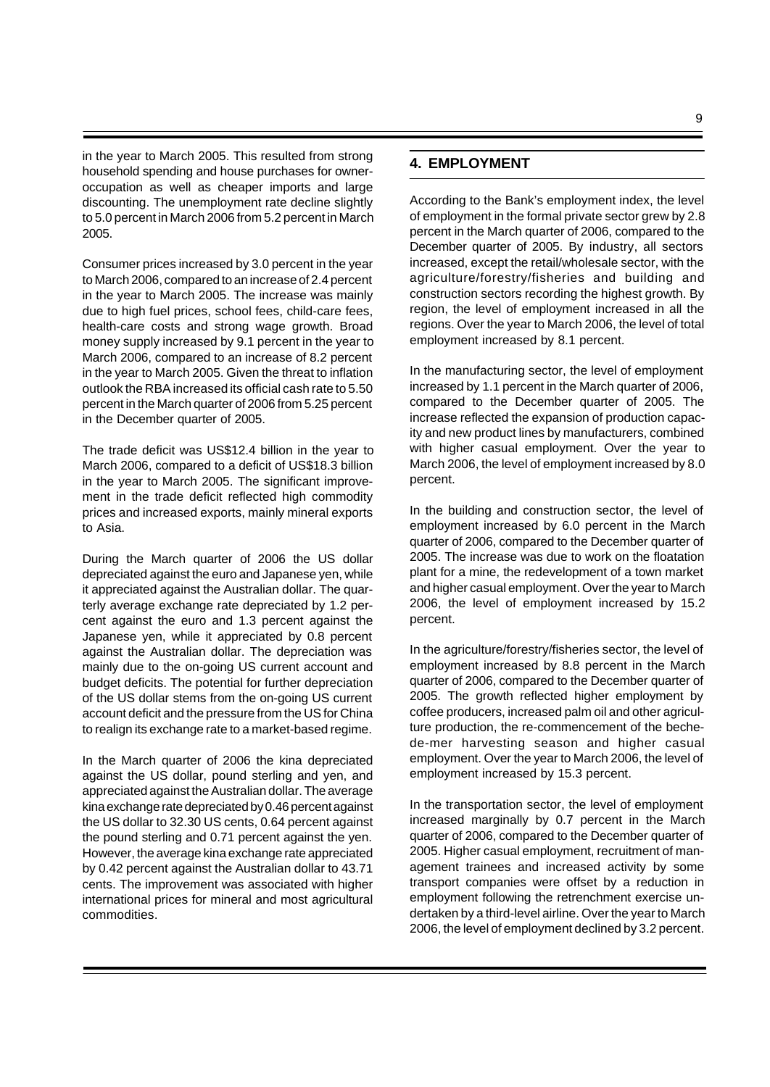in the year to March 2005. This resulted from strong household spending and house purchases for owneroccupation as well as cheaper imports and large discounting. The unemployment rate decline slightly to 5.0 percent in March 2006 from 5.2 percent in March 2005.

Consumer prices increased by 3.0 percent in the year to March 2006, compared to an increase of 2.4 percent in the year to March 2005. The increase was mainly due to high fuel prices, school fees, child-care fees, health-care costs and strong wage growth. Broad money supply increased by 9.1 percent in the year to March 2006, compared to an increase of 8.2 percent in the year to March 2005. Given the threat to inflation outlook the RBA increased its official cash rate to 5.50 percent in the March quarter of 2006 from 5.25 percent in the December quarter of 2005.

The trade deficit was US\$12.4 billion in the year to March 2006, compared to a deficit of US\$18.3 billion in the year to March 2005. The significant improvement in the trade deficit reflected high commodity prices and increased exports, mainly mineral exports to Asia.

During the March quarter of 2006 the US dollar depreciated against the euro and Japanese yen, while it appreciated against the Australian dollar. The quarterly average exchange rate depreciated by 1.2 percent against the euro and 1.3 percent against the Japanese yen, while it appreciated by 0.8 percent against the Australian dollar. The depreciation was mainly due to the on-going US current account and budget deficits. The potential for further depreciation of the US dollar stems from the on-going US current account deficit and the pressure from the US for China to realign its exchange rate to a market-based regime.

In the March quarter of 2006 the kina depreciated against the US dollar, pound sterling and yen, and appreciated against the Australian dollar. The average kina exchange rate depreciated by 0.46 percent against the US dollar to 32.30 US cents, 0.64 percent against the pound sterling and 0.71 percent against the yen. However, the average kina exchange rate appreciated by 0.42 percent against the Australian dollar to 43.71 cents. The improvement was associated with higher international prices for mineral and most agricultural commodities.

# **4. EMPLOYMENT**

According to the Bank's employment index, the level of employment in the formal private sector grew by 2.8 percent in the March quarter of 2006, compared to the December quarter of 2005. By industry, all sectors increased, except the retail/wholesale sector, with the agriculture/forestry/fisheries and building and construction sectors recording the highest growth. By region, the level of employment increased in all the regions. Over the year to March 2006, the level of total employment increased by 8.1 percent.

In the manufacturing sector, the level of employment increased by 1.1 percent in the March quarter of 2006, compared to the December quarter of 2005. The increase reflected the expansion of production capacity and new product lines by manufacturers, combined with higher casual employment. Over the year to March 2006, the level of employment increased by 8.0 percent.

In the building and construction sector, the level of employment increased by 6.0 percent in the March quarter of 2006, compared to the December quarter of 2005. The increase was due to work on the floatation plant for a mine, the redevelopment of a town market and higher casual employment. Over the year to March 2006, the level of employment increased by 15.2 percent.

In the agriculture/forestry/fisheries sector, the level of employment increased by 8.8 percent in the March quarter of 2006, compared to the December quarter of 2005. The growth reflected higher employment by coffee producers, increased palm oil and other agriculture production, the re-commencement of the bechede-mer harvesting season and higher casual employment. Over the year to March 2006, the level of employment increased by 15.3 percent.

In the transportation sector, the level of employment increased marginally by 0.7 percent in the March quarter of 2006, compared to the December quarter of 2005. Higher casual employment, recruitment of management trainees and increased activity by some transport companies were offset by a reduction in employment following the retrenchment exercise undertaken by a third-level airline. Over the year to March 2006, the level of employment declined by 3.2 percent.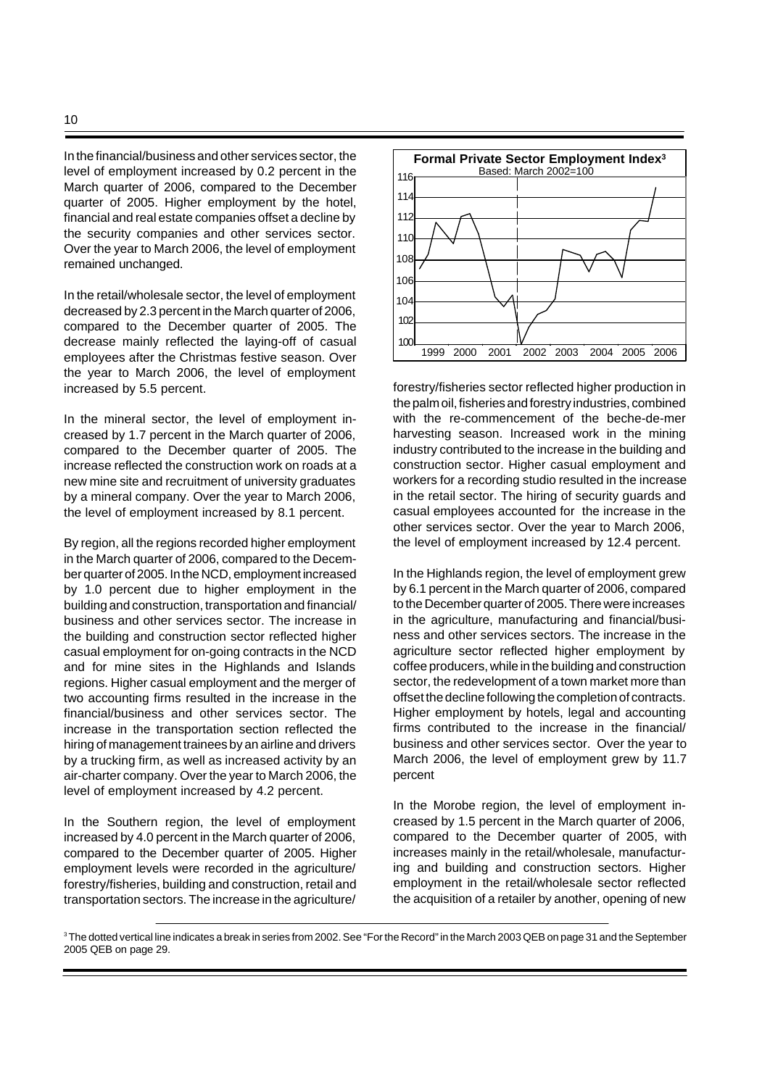In the financial/business and other services sector, the level of employment increased by 0.2 percent in the March quarter of 2006, compared to the December quarter of 2005. Higher employment by the hotel, financial and real estate companies offset a decline by the security companies and other services sector. Over the year to March 2006, the level of employment remained unchanged.

In the retail/wholesale sector, the level of employment decreased by 2.3 percent in the March quarter of 2006, compared to the December quarter of 2005. The decrease mainly reflected the laying-off of casual employees after the Christmas festive season. Over the year to March 2006, the level of employment increased by 5.5 percent.

In the mineral sector, the level of employment increased by 1.7 percent in the March quarter of 2006, compared to the December quarter of 2005. The increase reflected the construction work on roads at a new mine site and recruitment of university graduates by a mineral company. Over the year to March 2006, the level of employment increased by 8.1 percent.

By region, all the regions recorded higher employment in the March quarter of 2006, compared to the December quarter of 2005. In the NCD, employment increased by 1.0 percent due to higher employment in the building and construction, transportation and financial/ business and other services sector. The increase in the building and construction sector reflected higher casual employment for on-going contracts in the NCD and for mine sites in the Highlands and Islands regions. Higher casual employment and the merger of two accounting firms resulted in the increase in the financial/business and other services sector. The increase in the transportation section reflected the hiring of management trainees by an airline and drivers by a trucking firm, as well as increased activity by an air-charter company. Over the year to March 2006, the level of employment increased by 4.2 percent.

In the Southern region, the level of employment increased by 4.0 percent in the March quarter of 2006, compared to the December quarter of 2005. Higher employment levels were recorded in the agriculture/ forestry/fisheries, building and construction, retail and transportation sectors. The increase in the agriculture/



forestry/fisheries sector reflected higher production in the palm oil, fisheries and forestry industries, combined with the re-commencement of the beche-de-mer harvesting season. Increased work in the mining industry contributed to the increase in the building and construction sector. Higher casual employment and workers for a recording studio resulted in the increase in the retail sector. The hiring of security guards and casual employees accounted for the increase in the other services sector. Over the year to March 2006, the level of employment increased by 12.4 percent.

In the Highlands region, the level of employment grew by 6.1 percent in the March quarter of 2006, compared to the December quarter of 2005. There were increases in the agriculture, manufacturing and financial/business and other services sectors. The increase in the agriculture sector reflected higher employment by coffee producers, while in the building and construction sector, the redevelopment of a town market more than offset the decline following the completion of contracts. Higher employment by hotels, legal and accounting firms contributed to the increase in the financial/ business and other services sector. Over the year to March 2006, the level of employment grew by 11.7 percent

In the Morobe region, the level of employment increased by 1.5 percent in the March quarter of 2006, compared to the December quarter of 2005, with increases mainly in the retail/wholesale, manufacturing and building and construction sectors. Higher employment in the retail/wholesale sector reflected the acquisition of a retailer by another, opening of new

 $^{\rm 3}$ The dotted vertical line indicates a break in series from 2002. See "For the Record" in the March 2003 QEB on page 31 and the September 2005 QEB on page 29.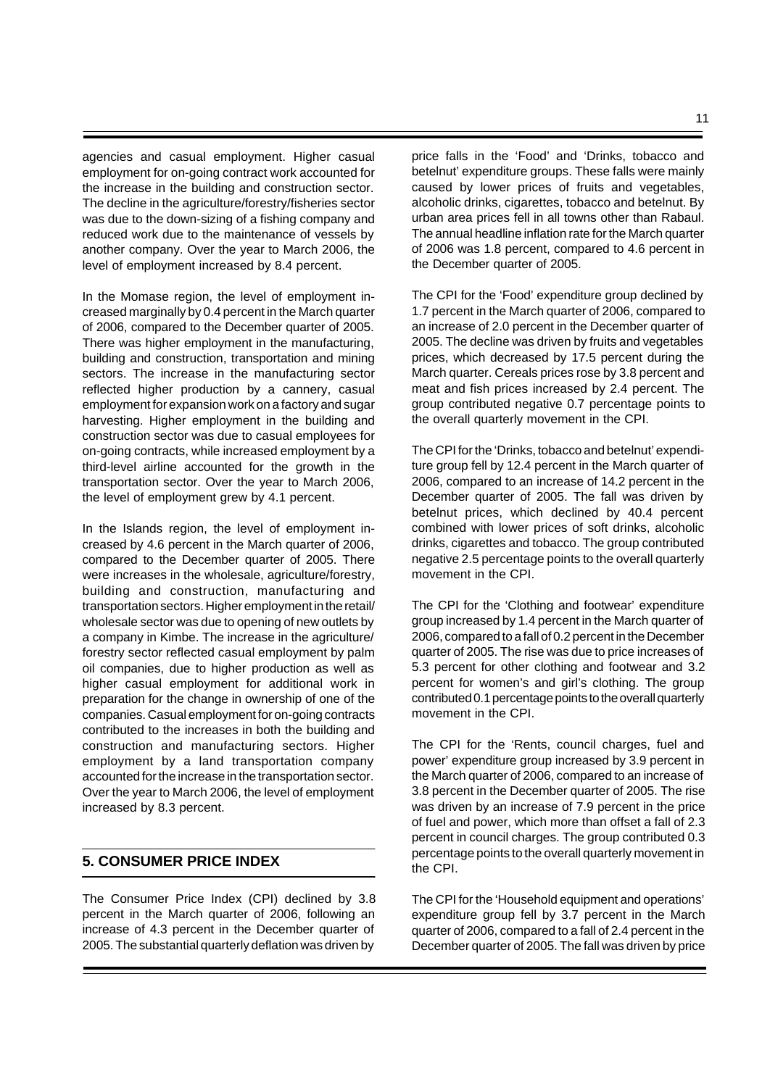agencies and casual employment. Higher casual employment for on-going contract work accounted for the increase in the building and construction sector. The decline in the agriculture/forestry/fisheries sector was due to the down-sizing of a fishing company and reduced work due to the maintenance of vessels by another company. Over the year to March 2006, the level of employment increased by 8.4 percent.

In the Momase region, the level of employment increased marginally by 0.4 percent in the March quarter of 2006, compared to the December quarter of 2005. There was higher employment in the manufacturing, building and construction, transportation and mining sectors. The increase in the manufacturing sector reflected higher production by a cannery, casual employment for expansion work on a factory and sugar harvesting. Higher employment in the building and construction sector was due to casual employees for on-going contracts, while increased employment by a third-level airline accounted for the growth in the transportation sector. Over the year to March 2006, the level of employment grew by 4.1 percent.

In the Islands region, the level of employment increased by 4.6 percent in the March quarter of 2006, compared to the December quarter of 2005. There were increases in the wholesale, agriculture/forestry, building and construction, manufacturing and transportation sectors. Higher employment in the retail/ wholesale sector was due to opening of new outlets by a company in Kimbe. The increase in the agriculture/ forestry sector reflected casual employment by palm oil companies, due to higher production as well as higher casual employment for additional work in preparation for the change in ownership of one of the companies. Casual employment for on-going contracts contributed to the increases in both the building and construction and manufacturing sectors. Higher employment by a land transportation company accounted for the increase in the transportation sector. Over the year to March 2006, the level of employment increased by 8.3 percent.

# **5. CONSUMER PRICE INDEX**

The Consumer Price Index (CPI) declined by 3.8 percent in the March quarter of 2006, following an increase of 4.3 percent in the December quarter of 2005. The substantial quarterly deflation was driven by

price falls in the 'Food' and 'Drinks, tobacco and betelnut' expenditure groups. These falls were mainly caused by lower prices of fruits and vegetables, alcoholic drinks, cigarettes, tobacco and betelnut. By urban area prices fell in all towns other than Rabaul. The annual headline inflation rate for the March quarter of 2006 was 1.8 percent, compared to 4.6 percent in the December quarter of 2005.

The CPI for the 'Food' expenditure group declined by 1.7 percent in the March quarter of 2006, compared to an increase of 2.0 percent in the December quarter of 2005. The decline was driven by fruits and vegetables prices, which decreased by 17.5 percent during the March quarter. Cereals prices rose by 3.8 percent and meat and fish prices increased by 2.4 percent. The group contributed negative 0.7 percentage points to the overall quarterly movement in the CPI.

The CPI for the 'Drinks, tobacco and betelnut' expenditure group fell by 12.4 percent in the March quarter of 2006, compared to an increase of 14.2 percent in the December quarter of 2005. The fall was driven by betelnut prices, which declined by 40.4 percent combined with lower prices of soft drinks, alcoholic drinks, cigarettes and tobacco. The group contributed negative 2.5 percentage points to the overall quarterly movement in the CPI.

The CPI for the 'Clothing and footwear' expenditure group increased by 1.4 percent in the March quarter of 2006, compared to a fall of 0.2 percent in the December quarter of 2005. The rise was due to price increases of 5.3 percent for other clothing and footwear and 3.2 percent for women's and girl's clothing. The group contributed 0.1 percentage points to the overall quarterly movement in the CPI.

The CPI for the 'Rents, council charges, fuel and power' expenditure group increased by 3.9 percent in the March quarter of 2006, compared to an increase of 3.8 percent in the December quarter of 2005. The rise was driven by an increase of 7.9 percent in the price of fuel and power, which more than offset a fall of 2.3 percent in council charges. The group contributed 0.3 percentage points to the overall quarterly movement in the CPI.

The CPI for the 'Household equipment and operations' expenditure group fell by 3.7 percent in the March quarter of 2006, compared to a fall of 2.4 percent in the December quarter of 2005. The fall was driven by price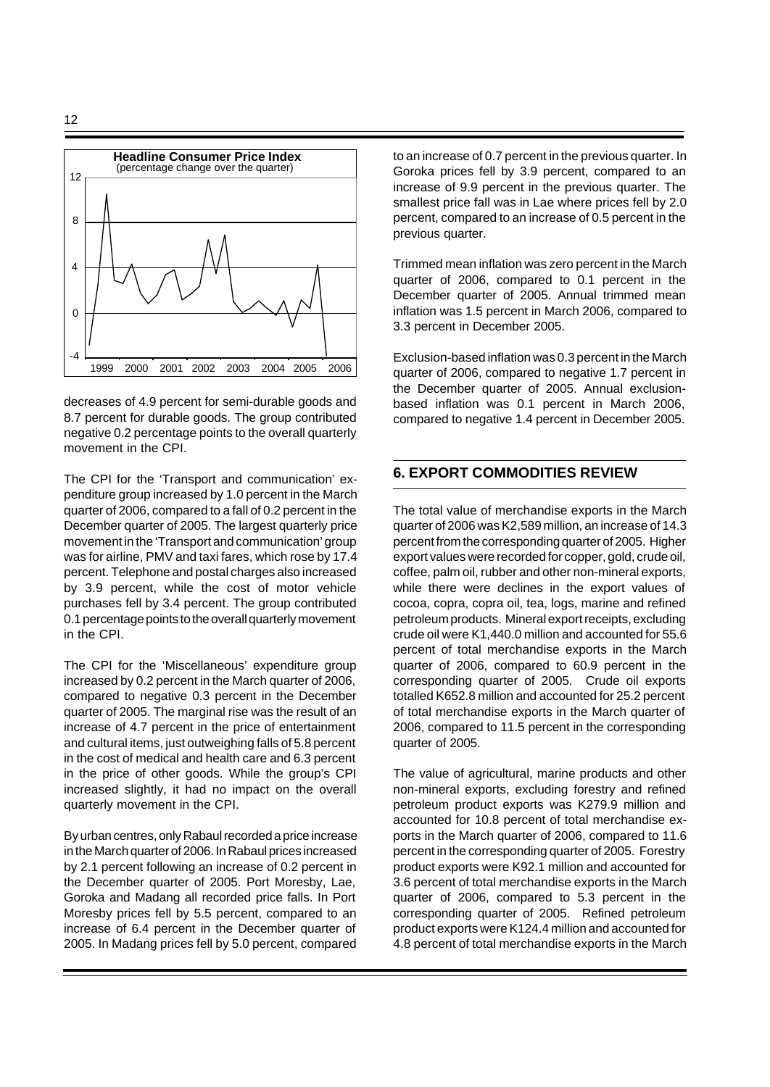

decreases of 4.9 percent for semi-durable goods and 8.7 percent for durable goods. The group contributed negative 0.2 percentage points to the overall quarterly movement in the CPI.

The CPI for the 'Transport and communication' expenditure group increased by 1.0 percent in the March quarter of 2006, compared to a fall of 0.2 percent in the December quarter of 2005. The largest quarterly price movement in the 'Transport and communication' group was for airline, PMV and taxi fares, which rose by 17.4 percent. Telephone and postal charges also increased by 3.9 percent, while the cost of motor vehicle purchases fell by 3.4 percent. The group contributed 0.1 percentage points to the overall quarterly movement in the CPI.

The CPI for the 'Miscellaneous' expenditure group increased by 0.2 percent in the March quarter of 2006, compared to negative 0.3 percent in the December quarter of 2005. The marginal rise was the result of an increase of 4.7 percent in the price of entertainment and cultural items, just outweighing falls of 5.8 percent in the cost of medical and health care and 6.3 percent in the price of other goods. While the group's CPI increased slightly, it had no impact on the overall quarterly movement in the CPI.

By urban centres, only Rabaul recorded a price increase in the March quarter of 2006. In Rabaul prices increased by 2.1 percent following an increase of 0.2 percent in the December quarter of 2005. Port Moresby, Lae, Goroka and Madang all recorded price falls. In Port Moresby prices fell by 5.5 percent, compared to an increase of 6.4 percent in the December quarter of 2005. In Madang prices fell by 5.0 percent, compared

to an increase of 0.7 percent in the previous quarter. In Goroka prices fell by 3.9 percent, compared to an increase of 9.9 percent in the previous quarter. The smallest price fall was in Lae where prices fell by 2.0 percent, compared to an increase of 0.5 percent in the previous quarter.

Trimmed mean inflation was zero percent in the March quarter of 2006, compared to 0.1 percent in the December quarter of 2005. Annual trimmed mean inflation was 1.5 percent in March 2006, compared to 3.3 percent in December 2005.

Exclusion-based inflation was 0.3 percent in the March quarter of 2006, compared to negative 1.7 percent in the December quarter of 2005. Annual exclusionbased inflation was 0.1 percent in March 2006, compared to negative 1.4 percent in December 2005.

# **6. EXPORT COMMODITIES REVIEW**

The total value of merchandise exports in the March quarter of 2006 was K2,589 million, an increase of 14.3 percent from the corresponding quarter of 2005. Higher export values were recorded for copper, gold, crude oil, coffee, palm oil, rubber and other non-mineral exports, while there were declines in the export values of cocoa, copra, copra oil, tea, logs, marine and refined petroleum products. Mineral export receipts, excluding crude oil were K1,440.0 million and accounted for 55.6 percent of total merchandise exports in the March quarter of 2006, compared to 60.9 percent in the corresponding quarter of 2005. Crude oil exports totalled K652.8 million and accounted for 25.2 percent of total merchandise exports in the March quarter of 2006, compared to 11.5 percent in the corresponding quarter of 2005.

The value of agricultural, marine products and other non-mineral exports, excluding forestry and refined petroleum product exports was K279.9 million and accounted for 10.8 percent of total merchandise exports in the March quarter of 2006, compared to 11.6 percent in the corresponding quarter of 2005. Forestry product exports were K92.1 million and accounted for 3.6 percent of total merchandise exports in the March quarter of 2006, compared to 5.3 percent in the corresponding quarter of 2005. Refined petroleum product exports were K124.4 million and accounted for 4.8 percent of total merchandise exports in the March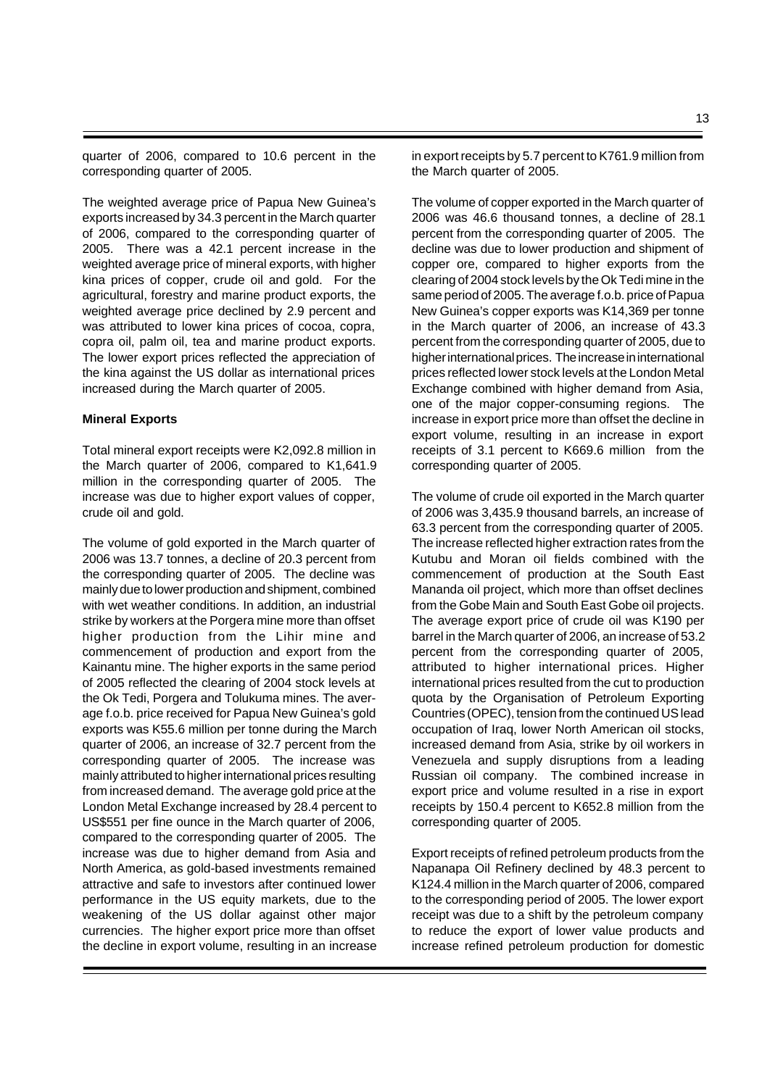quarter of 2006, compared to 10.6 percent in the corresponding quarter of 2005.

The weighted average price of Papua New Guinea's exports increased by 34.3 percent in the March quarter of 2006, compared to the corresponding quarter of 2005. There was a 42.1 percent increase in the weighted average price of mineral exports, with higher kina prices of copper, crude oil and gold. For the agricultural, forestry and marine product exports, the weighted average price declined by 2.9 percent and was attributed to lower kina prices of cocoa, copra, copra oil, palm oil, tea and marine product exports. The lower export prices reflected the appreciation of the kina against the US dollar as international prices increased during the March quarter of 2005.

### **Mineral Exports**

Total mineral export receipts were K2,092.8 million in the March quarter of 2006, compared to K1,641.9 million in the corresponding quarter of 2005. The increase was due to higher export values of copper, crude oil and gold.

The volume of gold exported in the March quarter of 2006 was 13.7 tonnes, a decline of 20.3 percent from the corresponding quarter of 2005. The decline was mainly due to lower production and shipment, combined with wet weather conditions. In addition, an industrial strike by workers at the Porgera mine more than offset higher production from the Lihir mine and commencement of production and export from the Kainantu mine. The higher exports in the same period of 2005 reflected the clearing of 2004 stock levels at the Ok Tedi, Porgera and Tolukuma mines. The average f.o.b. price received for Papua New Guinea's gold exports was K55.6 million per tonne during the March quarter of 2006, an increase of 32.7 percent from the corresponding quarter of 2005. The increase was mainly attributed to higher international prices resulting from increased demand. The average gold price at the London Metal Exchange increased by 28.4 percent to US\$551 per fine ounce in the March quarter of 2006, compared to the corresponding quarter of 2005. The increase was due to higher demand from Asia and North America, as gold-based investments remained attractive and safe to investors after continued lower performance in the US equity markets, due to the weakening of the US dollar against other major currencies. The higher export price more than offset the decline in export volume, resulting in an increase in export receipts by 5.7 percent to K761.9 million from the March quarter of 2005.

The volume of copper exported in the March quarter of 2006 was 46.6 thousand tonnes, a decline of 28.1 percent from the corresponding quarter of 2005. The decline was due to lower production and shipment of copper ore, compared to higher exports from the clearing of 2004 stock levels by the Ok Tedi mine in the same period of 2005. The average f.o.b. price of Papua New Guinea's copper exports was K14,369 per tonne in the March quarter of 2006, an increase of 43.3 percent from the corresponding quarter of 2005, due to higher international prices. The increase in international prices reflected lower stock levels at the London Metal Exchange combined with higher demand from Asia, one of the major copper-consuming regions. The increase in export price more than offset the decline in export volume, resulting in an increase in export receipts of 3.1 percent to K669.6 million from the corresponding quarter of 2005.

The volume of crude oil exported in the March quarter of 2006 was 3,435.9 thousand barrels, an increase of 63.3 percent from the corresponding quarter of 2005. The increase reflected higher extraction rates from the Kutubu and Moran oil fields combined with the commencement of production at the South East Mananda oil project, which more than offset declines from the Gobe Main and South East Gobe oil projects. The average export price of crude oil was K190 per barrel in the March quarter of 2006, an increase of 53.2 percent from the corresponding quarter of 2005, attributed to higher international prices. Higher international prices resulted from the cut to production quota by the Organisation of Petroleum Exporting Countries (OPEC), tension from the continued US lead occupation of Iraq, lower North American oil stocks, increased demand from Asia, strike by oil workers in Venezuela and supply disruptions from a leading Russian oil company. The combined increase in export price and volume resulted in a rise in export receipts by 150.4 percent to K652.8 million from the corresponding quarter of 2005.

Export receipts of refined petroleum products from the Napanapa Oil Refinery declined by 48.3 percent to K124.4 million in the March quarter of 2006, compared to the corresponding period of 2005. The lower export receipt was due to a shift by the petroleum company to reduce the export of lower value products and increase refined petroleum production for domestic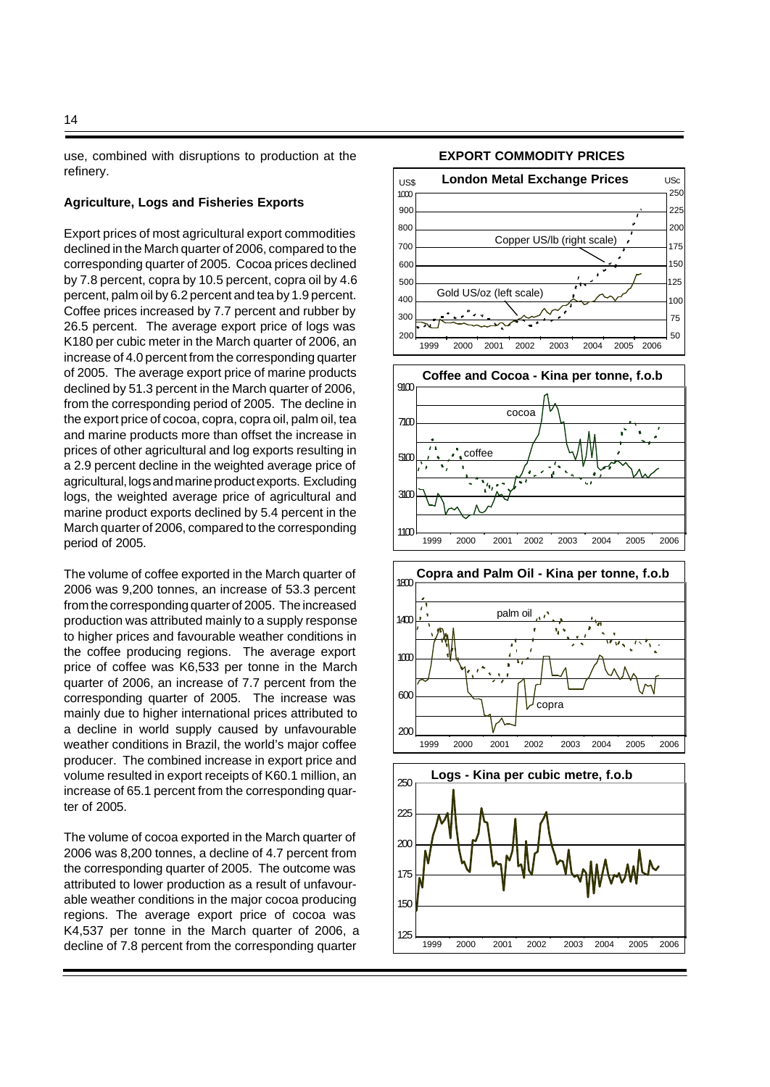use, combined with disruptions to production at the refinery.

#### **Agriculture, Logs and Fisheries Exports**

Export prices of most agricultural export commodities declined in the March quarter of 2006, compared to the corresponding quarter of 2005. Cocoa prices declined by 7.8 percent, copra by 10.5 percent, copra oil by 4.6 percent, palm oil by 6.2 percent and tea by 1.9 percent. Coffee prices increased by 7.7 percent and rubber by 26.5 percent. The average export price of logs was K180 per cubic meter in the March quarter of 2006, an increase of 4.0 percent from the corresponding quarter of 2005. The average export price of marine products declined by 51.3 percent in the March quarter of 2006, from the corresponding period of 2005. The decline in the export price of cocoa, copra, copra oil, palm oil, tea and marine products more than offset the increase in prices of other agricultural and log exports resulting in a 2.9 percent decline in the weighted average price of agricultural, logs and marine product exports. Excluding logs, the weighted average price of agricultural and marine product exports declined by 5.4 percent in the March quarter of 2006, compared to the corresponding period of 2005.

The volume of coffee exported in the March quarter of 2006 was 9,200 tonnes, an increase of 53.3 percent from the corresponding quarter of 2005. The increased production was attributed mainly to a supply response to higher prices and favourable weather conditions in the coffee producing regions. The average export price of coffee was K6,533 per tonne in the March quarter of 2006, an increase of 7.7 percent from the corresponding quarter of 2005. The increase was mainly due to higher international prices attributed to a decline in world supply caused by unfavourable weather conditions in Brazil, the world's major coffee producer. The combined increase in export price and volume resulted in export receipts of K60.1 million, an increase of 65.1 percent from the corresponding quarter of 2005.

The volume of cocoa exported in the March quarter of 2006 was 8,200 tonnes, a decline of 4.7 percent from the corresponding quarter of 2005. The outcome was attributed to lower production as a result of unfavourable weather conditions in the major cocoa producing regions. The average export price of cocoa was K4,537 per tonne in the March quarter of 2006, a decline of 7.8 percent from the corresponding quarter

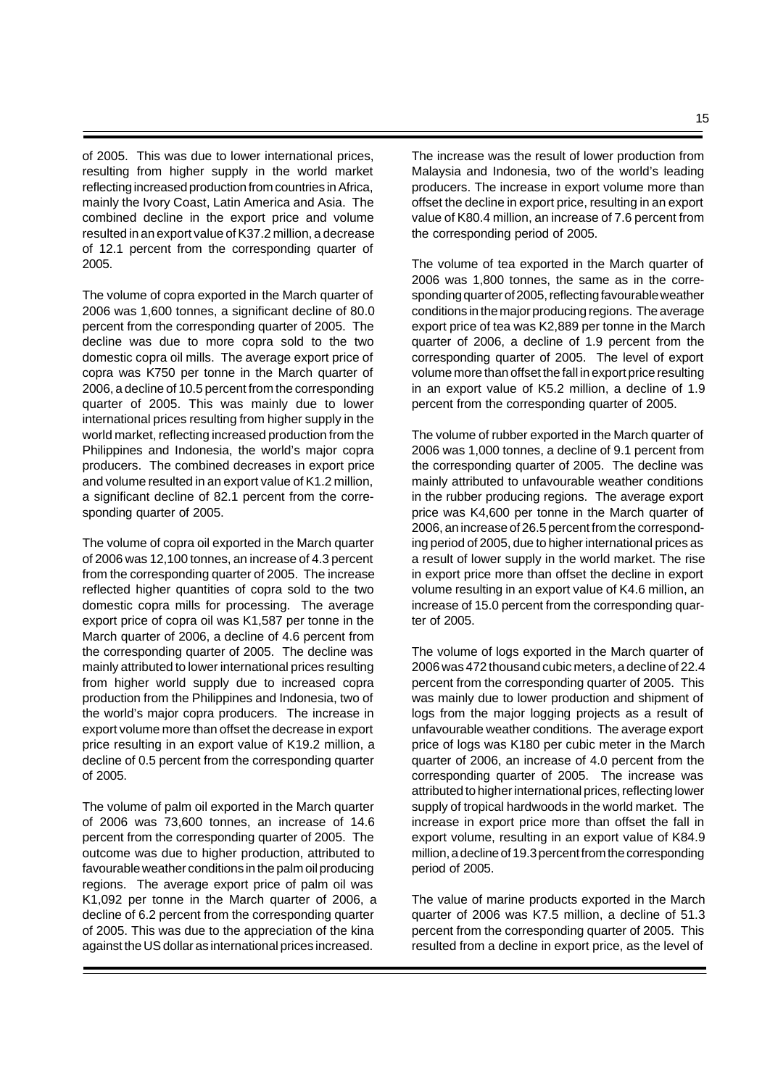of 2005. This was due to lower international prices, resulting from higher supply in the world market reflecting increased production from countries in Africa, mainly the Ivory Coast, Latin America and Asia. The combined decline in the export price and volume resulted in an export value of K37.2 million, a decrease of 12.1 percent from the corresponding quarter of 2005.

The volume of copra exported in the March quarter of 2006 was 1,600 tonnes, a significant decline of 80.0 percent from the corresponding quarter of 2005. The decline was due to more copra sold to the two domestic copra oil mills. The average export price of copra was K750 per tonne in the March quarter of 2006, a decline of 10.5 percent from the corresponding quarter of 2005. This was mainly due to lower international prices resulting from higher supply in the world market, reflecting increased production from the Philippines and Indonesia, the world's major copra producers. The combined decreases in export price and volume resulted in an export value of K1.2 million, a significant decline of 82.1 percent from the corresponding quarter of 2005.

The volume of copra oil exported in the March quarter of 2006 was 12,100 tonnes, an increase of 4.3 percent from the corresponding quarter of 2005. The increase reflected higher quantities of copra sold to the two domestic copra mills for processing. The average export price of copra oil was K1,587 per tonne in the March quarter of 2006, a decline of 4.6 percent from the corresponding quarter of 2005. The decline was mainly attributed to lower international prices resulting from higher world supply due to increased copra production from the Philippines and Indonesia, two of the world's major copra producers. The increase in export volume more than offset the decrease in export price resulting in an export value of K19.2 million, a decline of 0.5 percent from the corresponding quarter of 2005.

The volume of palm oil exported in the March quarter of 2006 was 73,600 tonnes, an increase of 14.6 percent from the corresponding quarter of 2005. The outcome was due to higher production, attributed to favourable weather conditions in the palm oil producing regions. The average export price of palm oil was K1,092 per tonne in the March quarter of 2006, a decline of 6.2 percent from the corresponding quarter of 2005. This was due to the appreciation of the kina against the US dollar as international prices increased.

The increase was the result of lower production from Malaysia and Indonesia, two of the world's leading producers. The increase in export volume more than offset the decline in export price, resulting in an export value of K80.4 million, an increase of 7.6 percent from the corresponding period of 2005.

The volume of tea exported in the March quarter of 2006 was 1,800 tonnes, the same as in the corresponding quarter of 2005, reflecting favourable weather conditions in the major producing regions. The average export price of tea was K2,889 per tonne in the March quarter of 2006, a decline of 1.9 percent from the corresponding quarter of 2005. The level of export volume more than offset the fall in export price resulting in an export value of K5.2 million, a decline of 1.9 percent from the corresponding quarter of 2005.

The volume of rubber exported in the March quarter of 2006 was 1,000 tonnes, a decline of 9.1 percent from the corresponding quarter of 2005. The decline was mainly attributed to unfavourable weather conditions in the rubber producing regions. The average export price was K4,600 per tonne in the March quarter of 2006, an increase of 26.5 percent from the corresponding period of 2005, due to higher international prices as a result of lower supply in the world market. The rise in export price more than offset the decline in export volume resulting in an export value of K4.6 million, an increase of 15.0 percent from the corresponding quarter of 2005.

The volume of logs exported in the March quarter of 2006 was 472 thousand cubic meters, a decline of 22.4 percent from the corresponding quarter of 2005. This was mainly due to lower production and shipment of logs from the major logging projects as a result of unfavourable weather conditions. The average export price of logs was K180 per cubic meter in the March quarter of 2006, an increase of 4.0 percent from the corresponding quarter of 2005. The increase was attributed to higher international prices, reflecting lower supply of tropical hardwoods in the world market. The increase in export price more than offset the fall in export volume, resulting in an export value of K84.9 million, a decline of 19.3 percent from the corresponding period of 2005.

The value of marine products exported in the March quarter of 2006 was K7.5 million, a decline of 51.3 percent from the corresponding quarter of 2005. This resulted from a decline in export price, as the level of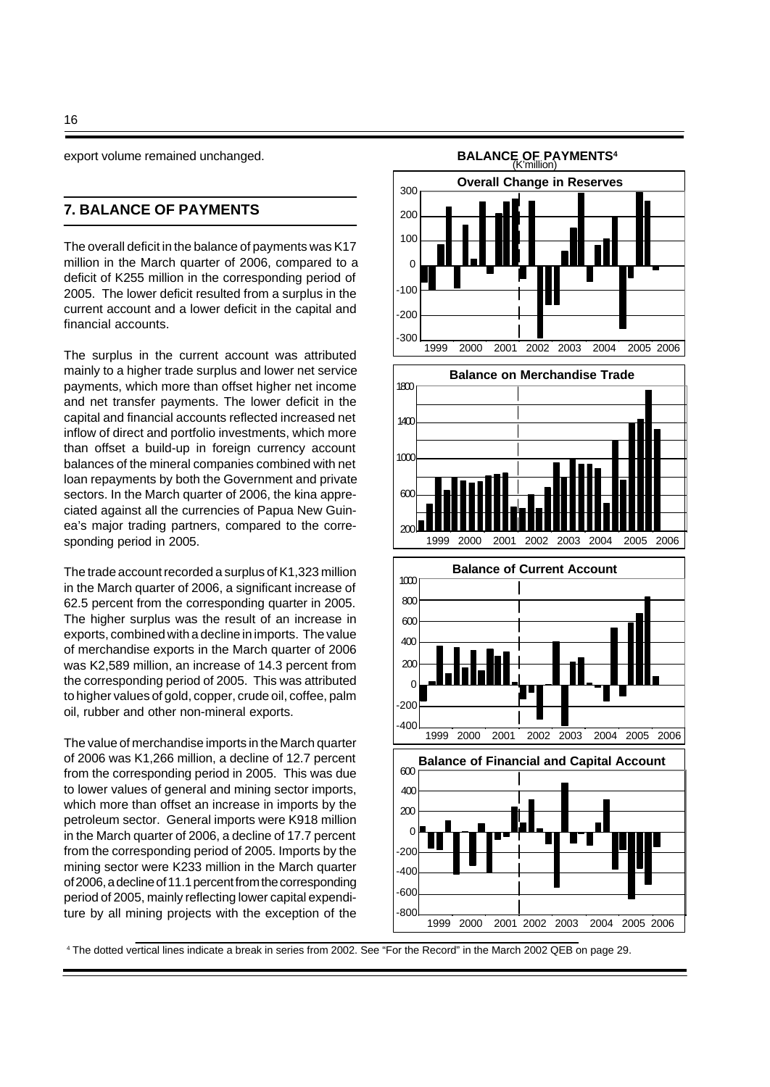export volume remained unchanged.

# **7. BALANCE OF PAYMENTS**

The overall deficit in the balance of payments was K17 million in the March quarter of 2006, compared to a deficit of K255 million in the corresponding period of 2005. The lower deficit resulted from a surplus in the current account and a lower deficit in the capital and financial accounts.

The surplus in the current account was attributed mainly to a higher trade surplus and lower net service payments, which more than offset higher net income and net transfer payments. The lower deficit in the capital and financial accounts reflected increased net inflow of direct and portfolio investments, which more than offset a build-up in foreign currency account balances of the mineral companies combined with net loan repayments by both the Government and private sectors. In the March quarter of 2006, the kina appreciated against all the currencies of Papua New Guinea's major trading partners, compared to the corresponding period in 2005.

The trade account recorded a surplus of K1,323 million in the March quarter of 2006, a significant increase of 62.5 percent from the corresponding quarter in 2005. The higher surplus was the result of an increase in exports, combined with a decline in imports. The value of merchandise exports in the March quarter of 2006 was K2,589 million, an increase of 14.3 percent from the corresponding period of 2005. This was attributed to higher values of gold, copper, crude oil, coffee, palm oil, rubber and other non-mineral exports.

The value of merchandise imports in the March quarter of 2006 was K1,266 million, a decline of 12.7 percent from the corresponding period in 2005. This was due to lower values of general and mining sector imports, which more than offset an increase in imports by the petroleum sector. General imports were K918 million in the March quarter of 2006, a decline of 17.7 percent from the corresponding period of 2005. Imports by the mining sector were K233 million in the March quarter of 2006, a decline of 11.1 percent from the corresponding period of 2005, mainly reflecting lower capital expenditure by all mining projects with the exception of the



4 The dotted vertical lines indicate a break in series from 2002. See "For the Record" in the March 2002 QEB on page 29.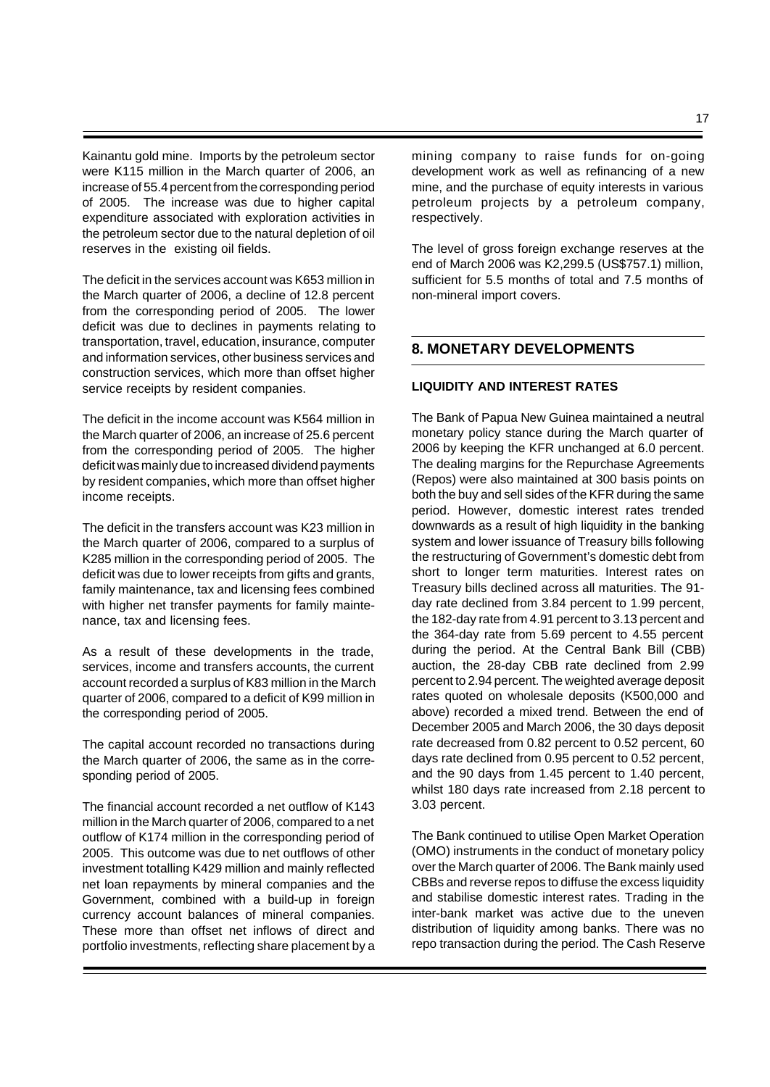Kainantu gold mine. Imports by the petroleum sector were K115 million in the March quarter of 2006, an increase of 55.4 percent from the corresponding period of 2005. The increase was due to higher capital expenditure associated with exploration activities in the petroleum sector due to the natural depletion of oil reserves in the existing oil fields.

The deficit in the services account was K653 million in the March quarter of 2006, a decline of 12.8 percent from the corresponding period of 2005. The lower deficit was due to declines in payments relating to transportation, travel, education, insurance, computer and information services, other business services and construction services, which more than offset higher service receipts by resident companies.

The deficit in the income account was K564 million in the March quarter of 2006, an increase of 25.6 percent from the corresponding period of 2005. The higher deficit was mainly due to increased dividend payments by resident companies, which more than offset higher income receipts.

The deficit in the transfers account was K23 million in the March quarter of 2006, compared to a surplus of K285 million in the corresponding period of 2005. The deficit was due to lower receipts from gifts and grants, family maintenance, tax and licensing fees combined with higher net transfer payments for family maintenance, tax and licensing fees.

As a result of these developments in the trade, services, income and transfers accounts, the current account recorded a surplus of K83 million in the March quarter of 2006, compared to a deficit of K99 million in the corresponding period of 2005.

The capital account recorded no transactions during the March quarter of 2006, the same as in the corresponding period of 2005.

The financial account recorded a net outflow of K143 million in the March quarter of 2006, compared to a net outflow of K174 million in the corresponding period of 2005. This outcome was due to net outflows of other investment totalling K429 million and mainly reflected net loan repayments by mineral companies and the Government, combined with a build-up in foreign currency account balances of mineral companies. These more than offset net inflows of direct and portfolio investments, reflecting share placement by a

mining company to raise funds for on-going development work as well as refinancing of a new mine, and the purchase of equity interests in various petroleum projects by a petroleum company, respectively.

The level of gross foreign exchange reserves at the end of March 2006 was K2,299.5 (US\$757.1) million, sufficient for 5.5 months of total and 7.5 months of non-mineral import covers.

# **8. MONETARY DEVELOPMENTS**

### **LIQUIDITY AND INTEREST RATES**

The Bank of Papua New Guinea maintained a neutral monetary policy stance during the March quarter of 2006 by keeping the KFR unchanged at 6.0 percent. The dealing margins for the Repurchase Agreements (Repos) were also maintained at 300 basis points on both the buy and sell sides of the KFR during the same period. However, domestic interest rates trended downwards as a result of high liquidity in the banking system and lower issuance of Treasury bills following the restructuring of Government's domestic debt from short to longer term maturities. Interest rates on Treasury bills declined across all maturities. The 91 day rate declined from 3.84 percent to 1.99 percent, the 182-day rate from 4.91 percent to 3.13 percent and the 364-day rate from 5.69 percent to 4.55 percent during the period. At the Central Bank Bill (CBB) auction, the 28-day CBB rate declined from 2.99 percent to 2.94 percent. The weighted average deposit rates quoted on wholesale deposits (K500,000 and above) recorded a mixed trend. Between the end of December 2005 and March 2006, the 30 days deposit rate decreased from 0.82 percent to 0.52 percent, 60 days rate declined from 0.95 percent to 0.52 percent, and the 90 days from 1.45 percent to 1.40 percent, whilst 180 days rate increased from 2.18 percent to 3.03 percent.

The Bank continued to utilise Open Market Operation (OMO) instruments in the conduct of monetary policy over the March quarter of 2006. The Bank mainly used CBBs and reverse repos to diffuse the excess liquidity and stabilise domestic interest rates. Trading in the inter-bank market was active due to the uneven distribution of liquidity among banks. There was no repo transaction during the period. The Cash Reserve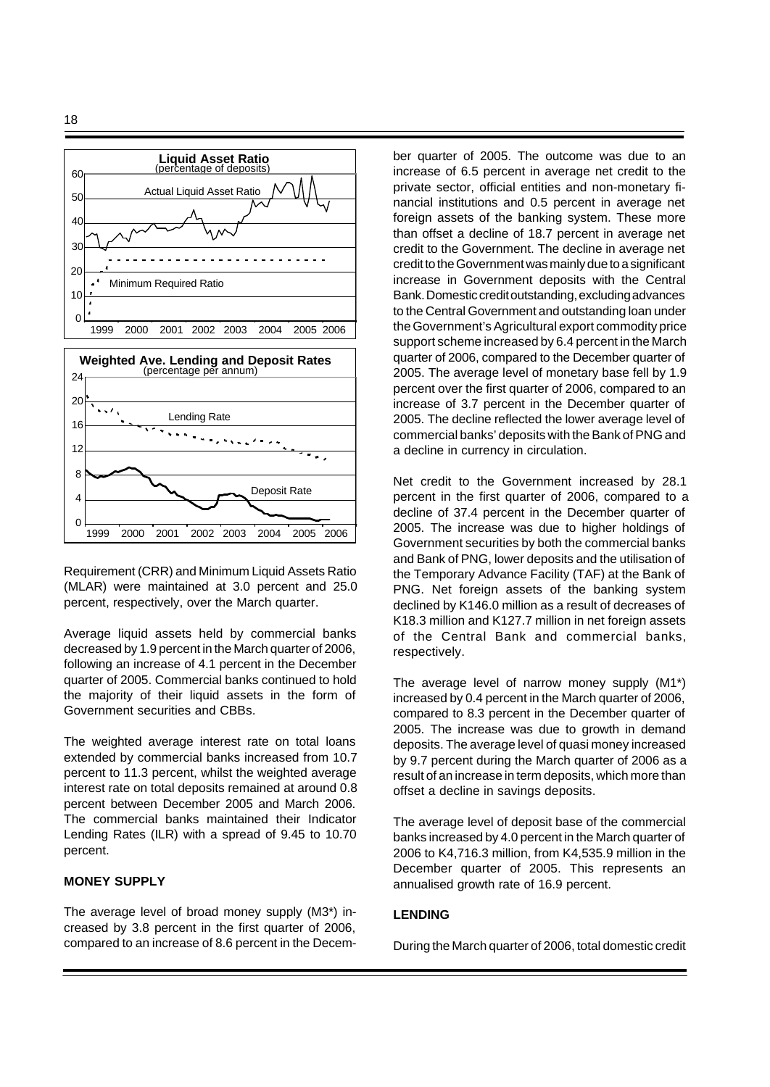



Requirement (CRR) and Minimum Liquid Assets Ratio (MLAR) were maintained at 3.0 percent and 25.0 percent, respectively, over the March quarter.

Average liquid assets held by commercial banks decreased by 1.9 percent in the March quarter of 2006, following an increase of 4.1 percent in the December quarter of 2005. Commercial banks continued to hold the majority of their liquid assets in the form of Government securities and CBBs.

The weighted average interest rate on total loans extended by commercial banks increased from 10.7 percent to 11.3 percent, whilst the weighted average interest rate on total deposits remained at around 0.8 percent between December 2005 and March 2006. The commercial banks maintained their Indicator Lending Rates (ILR) with a spread of 9.45 to 10.70 percent.

## **MONEY SUPPLY**

The average level of broad money supply (M3\*) increased by 3.8 percent in the first quarter of 2006, compared to an increase of 8.6 percent in the December quarter of 2005. The outcome was due to an increase of 6.5 percent in average net credit to the private sector, official entities and non-monetary financial institutions and 0.5 percent in average net foreign assets of the banking system. These more than offset a decline of 18.7 percent in average net credit to the Government. The decline in average net credit to the Government was mainly due to a significant increase in Government deposits with the Central Bank. Domestic credit outstanding, excluding advances to the Central Government and outstanding loan under the Government's Agricultural export commodity price support scheme increased by 6.4 percent in the March quarter of 2006, compared to the December quarter of 2005. The average level of monetary base fell by 1.9 percent over the first quarter of 2006, compared to an increase of 3.7 percent in the December quarter of 2005. The decline reflected the lower average level of commercial banks' deposits with the Bank of PNG and a decline in currency in circulation.

Net credit to the Government increased by 28.1 percent in the first quarter of 2006, compared to a decline of 37.4 percent in the December quarter of 2005. The increase was due to higher holdings of Government securities by both the commercial banks and Bank of PNG, lower deposits and the utilisation of the Temporary Advance Facility (TAF) at the Bank of PNG. Net foreign assets of the banking system declined by K146.0 million as a result of decreases of K18.3 million and K127.7 million in net foreign assets of the Central Bank and commercial banks, respectively.

The average level of narrow money supply (M1\*) increased by 0.4 percent in the March quarter of 2006, compared to 8.3 percent in the December quarter of 2005. The increase was due to growth in demand deposits. The average level of quasi money increased by 9.7 percent during the March quarter of 2006 as a result of an increase in term deposits, which more than offset a decline in savings deposits.

The average level of deposit base of the commercial banks increased by 4.0 percent in the March quarter of 2006 to K4,716.3 million, from K4,535.9 million in the December quarter of 2005. This represents an annualised growth rate of 16.9 percent.

### **LENDING**

During the March quarter of 2006, total domestic credit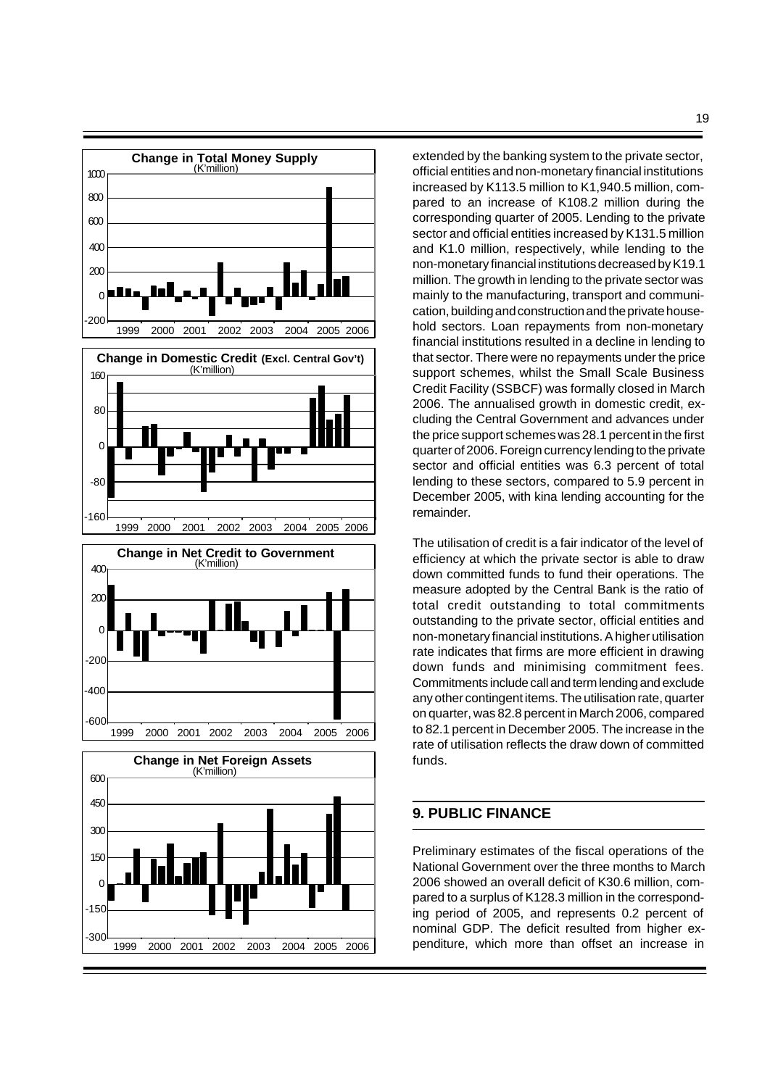

1999 2000 2001 2002 2003 2004 2005 2006

 $300$ 

extended by the banking system to the private sector, official entities and non-monetary financial institutions increased by K113.5 million to K1,940.5 million, compared to an increase of K108.2 million during the corresponding quarter of 2005. Lending to the private sector and official entities increased by K131.5 million and K1.0 million, respectively, while lending to the non-monetary financial institutions decreased by K19.1 million. The growth in lending to the private sector was mainly to the manufacturing, transport and communication, building and construction and the private household sectors. Loan repayments from non-monetary financial institutions resulted in a decline in lending to that sector. There were no repayments under the price support schemes, whilst the Small Scale Business Credit Facility (SSBCF) was formally closed in March 2006. The annualised growth in domestic credit, excluding the Central Government and advances under the price support schemes was 28.1 percent in the first quarter of 2006. Foreign currency lending to the private sector and official entities was 6.3 percent of total lending to these sectors, compared to 5.9 percent in December 2005, with kina lending accounting for the remainder.

The utilisation of credit is a fair indicator of the level of efficiency at which the private sector is able to draw down committed funds to fund their operations. The measure adopted by the Central Bank is the ratio of total credit outstanding to total commitments outstanding to the private sector, official entities and non-monetary financial institutions. A higher utilisation rate indicates that firms are more efficient in drawing down funds and minimising commitment fees. Commitments include call and term lending and exclude any other contingent items. The utilisation rate, quarter on quarter, was 82.8 percent in March 2006, compared to 82.1 percent in December 2005. The increase in the rate of utilisation reflects the draw down of committed funds.

# **9. PUBLIC FINANCE**

Preliminary estimates of the fiscal operations of the National Government over the three months to March 2006 showed an overall deficit of K30.6 million, compared to a surplus of K128.3 million in the corresponding period of 2005, and represents 0.2 percent of nominal GDP. The deficit resulted from higher expenditure, which more than offset an increase in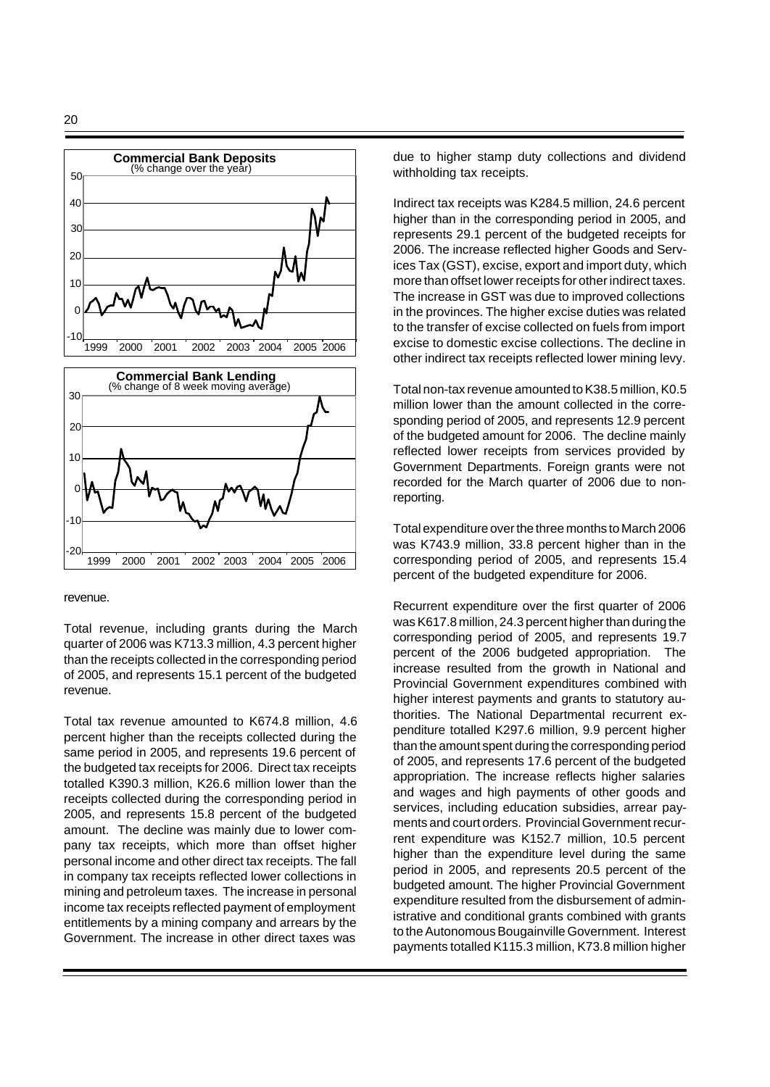



#### revenue.

Total revenue, including grants during the March quarter of 2006 was K713.3 million, 4.3 percent higher than the receipts collected in the corresponding period of 2005, and represents 15.1 percent of the budgeted revenue.

Total tax revenue amounted to K674.8 million, 4.6 percent higher than the receipts collected during the same period in 2005, and represents 19.6 percent of the budgeted tax receipts for 2006. Direct tax receipts totalled K390.3 million, K26.6 million lower than the receipts collected during the corresponding period in 2005, and represents 15.8 percent of the budgeted amount. The decline was mainly due to lower company tax receipts, which more than offset higher personal income and other direct tax receipts. The fall in company tax receipts reflected lower collections in mining and petroleum taxes. The increase in personal income tax receipts reflected payment of employment entitlements by a mining company and arrears by the Government. The increase in other direct taxes was

due to higher stamp duty collections and dividend withholding tax receipts.

Indirect tax receipts was K284.5 million, 24.6 percent higher than in the corresponding period in 2005, and represents 29.1 percent of the budgeted receipts for 2006. The increase reflected higher Goods and Services Tax (GST), excise, export and import duty, which more than offset lower receipts for other indirect taxes. The increase in GST was due to improved collections in the provinces. The higher excise duties was related to the transfer of excise collected on fuels from import excise to domestic excise collections. The decline in other indirect tax receipts reflected lower mining levy.

Total non-tax revenue amounted to K38.5 million, K0.5 million lower than the amount collected in the corresponding period of 2005, and represents 12.9 percent of the budgeted amount for 2006. The decline mainly reflected lower receipts from services provided by Government Departments. Foreign grants were not recorded for the March quarter of 2006 due to nonreporting.

Total expenditure over the three months to March 2006 was K743.9 million, 33.8 percent higher than in the corresponding period of 2005, and represents 15.4 percent of the budgeted expenditure for 2006.

Recurrent expenditure over the first quarter of 2006 was K617.8 million, 24.3 percent higher than during the corresponding period of 2005, and represents 19.7 percent of the 2006 budgeted appropriation. The increase resulted from the growth in National and Provincial Government expenditures combined with higher interest payments and grants to statutory authorities. The National Departmental recurrent expenditure totalled K297.6 million, 9.9 percent higher than the amount spent during the corresponding period of 2005, and represents 17.6 percent of the budgeted appropriation. The increase reflects higher salaries and wages and high payments of other goods and services, including education subsidies, arrear payments and court orders. Provincial Government recurrent expenditure was K152.7 million, 10.5 percent higher than the expenditure level during the same period in 2005, and represents 20.5 percent of the budgeted amount. The higher Provincial Government expenditure resulted from the disbursement of administrative and conditional grants combined with grants to the Autonomous Bougainville Government. Interest payments totalled K115.3 million, K73.8 million higher